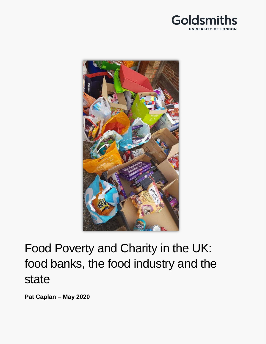



# Food Poverty and Charity in the UK: food banks, the food industry and the state

**Pat Caplan – May 2020**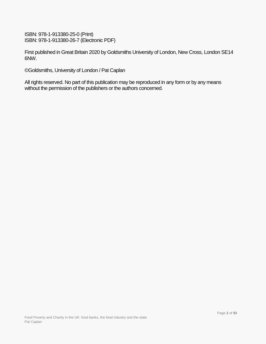ISBN: 978-1-913380-25-0 (Print) ISBN: 978-1-913380-26-7 (Electronic PDF)

First published in Great Britain 2020 by Goldsmiths University of London, New Cross, London SE14 6NW.

©Goldsmiths, University of London / Pat Caplan

All rights reserved. No part of this publication may be reproduced in any form or by any means without the permission of the publishers or the authors concerned.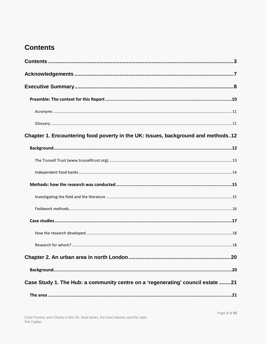# <span id="page-2-0"></span>**Contents**

| Chapter 1. Encountering food poverty in the UK: Issues, background and methods. 12 |
|------------------------------------------------------------------------------------|
|                                                                                    |
|                                                                                    |
|                                                                                    |
|                                                                                    |
|                                                                                    |
|                                                                                    |
|                                                                                    |
|                                                                                    |
|                                                                                    |
|                                                                                    |
|                                                                                    |
| Case Study 1. The Hub: a community centre on a 'regenerating' council estate 21    |
|                                                                                    |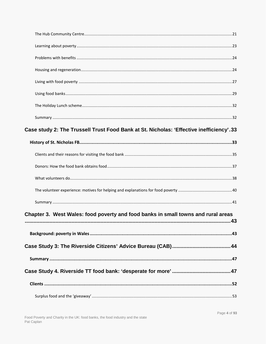| Case study 2: The Trussell Trust Food Bank at St. Nicholas: 'Effective inefficiency'.33 |  |
|-----------------------------------------------------------------------------------------|--|
|                                                                                         |  |
|                                                                                         |  |
|                                                                                         |  |
|                                                                                         |  |
|                                                                                         |  |
|                                                                                         |  |
| Chapter 3. West Wales: food poverty and food banks in small towns and rural areas       |  |
|                                                                                         |  |
|                                                                                         |  |
|                                                                                         |  |
|                                                                                         |  |
|                                                                                         |  |
|                                                                                         |  |
|                                                                                         |  |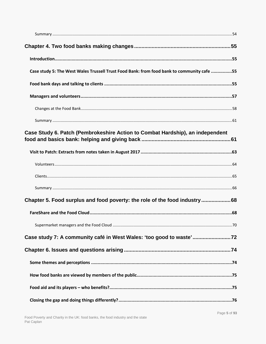| Case study 5: The West Wales Trussell Trust Food Bank: from food bank to community cafe 55 |  |
|--------------------------------------------------------------------------------------------|--|
|                                                                                            |  |
|                                                                                            |  |
|                                                                                            |  |
|                                                                                            |  |
| Case Study 6. Patch (Pembrokeshire Action to Combat Hardship), an independent              |  |
|                                                                                            |  |
|                                                                                            |  |
|                                                                                            |  |
|                                                                                            |  |
| Chapter 5. Food surplus and food poverty: the role of the food industry68                  |  |
|                                                                                            |  |
|                                                                                            |  |
| Case study 7: A community café in West Wales: 'too good to waste'72                        |  |
|                                                                                            |  |
|                                                                                            |  |
|                                                                                            |  |
|                                                                                            |  |
|                                                                                            |  |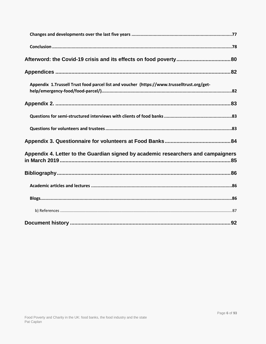| Appendix 1.Trussell Trust food parcel list and voucher (https://www.trusselltrust.org/get- |
|--------------------------------------------------------------------------------------------|
|                                                                                            |
|                                                                                            |
|                                                                                            |
|                                                                                            |
| Appendix 4. Letter to the Guardian signed by academic researchers and campaigners          |
|                                                                                            |
|                                                                                            |
|                                                                                            |
|                                                                                            |
|                                                                                            |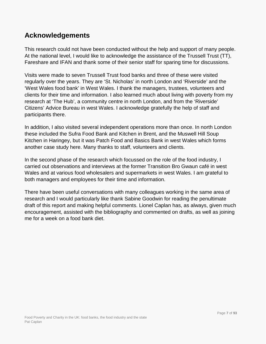## <span id="page-6-0"></span>**Acknowledgements**

This research could not have been conducted without the help and support of many people. At the national level, I would like to acknowledge the assistance of the Trussell Trust (TT), Fareshare and IFAN and thank some of their senior staff for sparing time for discussions.

Visits were made to seven Trussell Trust food banks and three of these were visited regularly over the years. They are 'St. Nicholas' in north London and 'Riverside' and the 'West Wales food bank' in West Wales. I thank the managers, trustees, volunteers and clients for their time and information. I also learned much about living with poverty from my research at 'The Hub', a community centre in north London, and from the 'Riverside' Citizens' Advice Bureau in west Wales. I acknowledge gratefully the help of staff and participants there.

In addition, I also visited several independent operations more than once. In north London these included the Sufra Food Bank and Kitchen in Brent, and the Muswell Hill Soup Kitchen in Haringey, but it was Patch Food and Basics Bank in west Wales which forms another case study here. Many thanks to staff, volunteers and clients.

In the second phase of the research which focussed on the role of the food industry, I carried out observations and interviews at the former Transition Bro Gwaun café in west Wales and at various food wholesalers and supermarkets in west Wales. I am grateful to both managers and employees for their time and information.

There have been useful conversations with many colleagues working in the same area of research and I would particularly like thank Sabine Goodwin for reading the penultimate draft of this report and making helpful comments. Lionel Caplan has, as always, given much encouragement, assisted with the bibliography and commented on drafts, as well as joining me for a week on a food bank diet.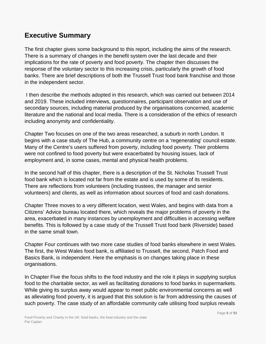# <span id="page-7-0"></span>**Executive Summary**

The first chapter gives some background to this report, including the aims of the research. There is a summary of changes in the benefit system over the last decade and their implications for the rate of poverty and food poverty. The chapter then discusses the response of the voluntary sector to this increasing crisis, particularly the growth of food banks. There are brief descriptions of both the Trussell Trust food bank franchise and those in the independent sector.

I then describe the methods adopted in this research, which was carried out between 2014 and 2019. These included interviews, questionnaires, participant observation and use of secondary sources, including material produced by the organisations concerned, academic literature and the national and local media. There is a consideration of the ethics of research including anonymity and confidentiality.

Chapter Two focuses on one of the two areas researched, a suburb in north London. It begins with a case study of The Hub, a community centre on a 'regenerating' council estate. Many of the Centre's users suffered from poverty, including food poverty. Their problems were not confined to food poverty but were exacerbated by housing issues, lack of employment and, in some cases, mental and physical health problems.

In the second half of this chapter, there is a description of the St. Nicholas Trussell Trust food bank which is located not far from the estate and is used by some of its residents. There are reflections from volunteers (including trustees, the manager and senior volunteers) and clients, as well as information about sources of food and cash donations.

Chapter Three moves to a very different location, west Wales, and begins with data from a Citizens' Advice bureau located there, which reveals the major problems of poverty in the area, exacerbated in many instances by unemployment and difficulties in accessing welfare benefits. This is followed by a case study of the Trussell Trust food bank (Riverside) based in the same small town.

Chapter Four continues with two more case studies of food banks elsewhere in west Wales. The first, the West Wales food bank, is affiliated to Trussell, the second, Patch Food and Basics Bank, is independent. Here the emphasis is on changes taking place in these organisations.

In Chapter Five the focus shifts to the food industry and the role it plays in supplying surplus food to the charitable sector, as well as facilitating donations to food banks in supermarkets. While giving its surplus away would appear to meet public environmental concerns as well as alleviating food poverty, it is argued that this solution is far from addressing the causes of such poverty. The case study of an affordable community cafe utilising food surplus reveals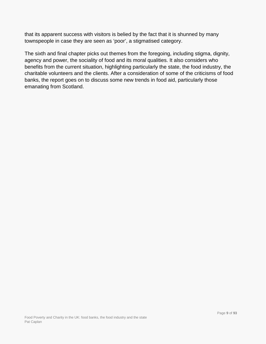that its apparent success with visitors is belied by the fact that it is shunned by many townspeople in case they are seen as 'poor', a stigmatised category.

The sixth and final chapter picks out themes from the foregoing, including stigma, dignity, agency and power, the sociality of food and its moral qualities. It also considers who benefits from the current situation, highlighting particularly the state, the food industry, the charitable volunteers and the clients. After a consideration of some of the criticisms of food banks, the report goes on to discuss some new trends in food aid, particularly those emanating from Scotland.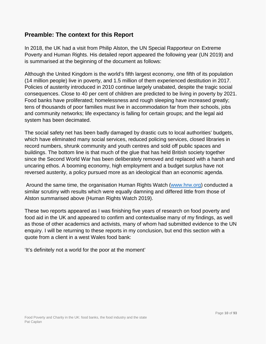## <span id="page-9-0"></span>**Preamble: The context for this Report**

In 2018, the UK had a visit from Philip Alston, the UN Special Rapporteur on Extreme Poverty and Human Rights. His detailed report appeared the following year (UN 2019) and is summarised at the beginning of the document as follows:

Although the United Kingdom is the world's fifth largest economy, one fifth of its population (14 million people) live in poverty, and 1.5 million of them experienced destitution in 2017. Policies of austerity introduced in 2010 continue largely unabated, despite the tragic social consequences. Close to 40 per cent of children are predicted to be living in poverty by 2021. Food banks have proliferated; homelessness and rough sleeping have increased greatly; tens of thousands of poor families must live in accommodation far from their schools, jobs and community networks; life expectancy is falling for certain groups; and the legal aid system has been decimated.

The social safety net has been badly damaged by drastic cuts to local authorities' budgets, which have eliminated many social services, reduced policing services, closed libraries in record numbers, shrunk community and youth centres and sold off public spaces and buildings. The bottom line is that much of the glue that has held British society together since the Second World War has been deliberately removed and replaced with a harsh and uncaring ethos. A booming economy, high employment and a budget surplus have not reversed austerity, a policy pursued more as an ideological than an economic agenda.

Around the same time, the organisation Human Rights Watch [\(www.hrw.org\)](http://www.hrw.org/) conducted a similar scrutiny with results which were equally damning and differed little from those of Alston summarised above (Human Rights Watch 2019).

These two reports appeared as I was finishing five years of research on food poverty and food aid in the UK and appeared to confirm and contextualise many of my findings, as well as those of other academics and activists, many of whom had submitted evidence to the UN enquiry. I will be returning to these reports in my conclusion, but end this section with a quote from a client in a west Wales food bank:

'It's definitely not a world for the poor at the moment'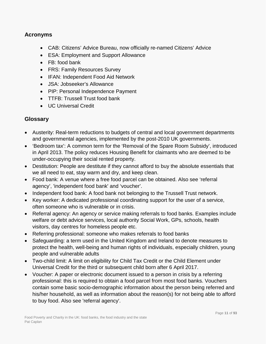#### <span id="page-10-0"></span>**Acronyms**

- CAB: Citizens' Advice Bureau, now officially re-named Citizens' Advice
- ESA: Employment and Support Allowance
- FB: food bank
- FRS: Family Resources Survey
- IFAN: Independent Food Aid Network
- JSA: Jobseeker's Allowance
- PIP: Personal Independence Payment
- TTFB: Trussell Trust food bank
- UC Universal Credit

#### <span id="page-10-1"></span>**Glossary**

- Austerity: Real-term reductions to budgets of central and local government departments and governmental agencies, implemented by the post-2010 UK governments.
- 'Bedroom tax': A common term for the 'Removal of the Spare Room Subsidy', introduced in April 2013. The policy reduces Housing Benefit for claimants who are deemed to be under-occupying their social rented property.
- Destitution: People are destitute if they cannot afford to buy the absolute essentials that we all need to eat, stay warm and dry, and keep clean.
- Food bank: A venue where a free food parcel can be obtained. Also see 'referral agency', 'independent food bank' and 'voucher'.
- Independent food bank: A food bank not belonging to the Trussell Trust network.
- Key worker: A dedicated professional coordinating support for the user of a service, often someone who is vulnerable or in crisis.
- Referral agency: An agency or service making referrals to food banks. Examples include welfare or debt advice services, local authority Social Work, GPs, schools, health visitors, day centres for homeless people etc.
- Referring professional: someone who makes referrals to food banks
- Safeguarding: a term used in the United Kingdom and Ireland to denote measures to protect the health, well-being and human rights of individuals, especially children, young people and vulnerable adults
- Two-child limit: A limit on eligibility for Child Tax Credit or the Child Element under Universal Credit for the third or subsequent child born after 6 April 2017.
- Voucher: A paper or electronic document issued to a person in crisis by a referring professional: this is required to obtain a food parcel from most food banks. Vouchers contain some basic socio-demographic information about the person being referred and his/her household, as well as information about the reason(s) for not being able to afford to buy food. Also see 'referral agency'.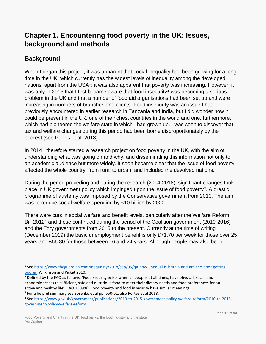# <span id="page-11-0"></span>**Chapter 1. Encountering food poverty in the UK: Issues, background and methods**

## <span id="page-11-1"></span>**Background**

 $\overline{a}$ 

When I began this project, it was apparent that social inequality had been growing for a long time in the UK, which currently has the widest levels of inequality among the developed nations, apart from the USA<sup>1</sup>; it was also apparent that poverty was increasing. However, it was only in [2](#page-11-3)013 that I first became aware that food insecurity<sup>2</sup> was becoming a serious problem in the UK and that a number of food aid organisations had been set up and were increasing in numbers of branches and clients. Food insecurity was an issue I had previously encountered in earlier research in Tanzania and India, but I did wonder how it could be present in the UK, one of the richest countries in the world and one, furthermore, which had pioneered the welfare state in which I had grown up. I was soon to discover that tax and welfare changes during this period had been borne disproportionately by the poorest (see Portes et al. 2018).

In 2014 I therefore started a research project on food poverty in the UK, with the aim of understanding what was going on and why, and disseminating this information not only to an academic audience but more widely. It soon became clear that the issue of food poverty affected the whole country, from rural to urban, and included the devolved nations.

During the period preceding and during the research (2014-2018), significant changes took place in UK government policy which impinged upon the issue of food poverty<sup>3</sup>. A drastic programme of austerity was imposed by the Conservative government from 2010. The aim was to reduce social welfare spending by £10 billion by 2020.

There were cuts in social welfare and benefit levels, particularly after the Welfare Reform Bill 2012<sup>[4](#page-11-5)</sup> and these continued during the period of the Coalition government (2010-2016) and the Tory governments from 2015 to the present. Currently at the time of writing (December 2019) the basic unemployment benefit is only £71.70 per week for those over 25 years and £56.80 for those between 16 and 24 years. Although people may also be in

<span id="page-11-2"></span><sup>1</sup> See [https://www.theguardian.com/inequality/2018/sep/05/qa-how-unequal-is-britain-and-are-the-poor-getting](https://www.theguardian.com/inequality/2018/sep/05/qa-how-unequal-is-britain-and-are-the-poor-getting-poorer)[poorer,](https://www.theguardian.com/inequality/2018/sep/05/qa-how-unequal-is-britain-and-are-the-poor-getting-poorer) Wilkinson and Picket 2010.

<span id="page-11-3"></span><sup>&</sup>lt;sup>2</sup> Defined by the FAO as follows: 'Food security exists when all people, at all times, have physical, social and economic access to sufficient, safe and nutritious food to meet their dietary needs and food preferences for an active and healthy life' (FAO 2009:8). Food poverty and food insecurity have similar meanings. <sup>3</sup> For a helpful summary see Sosenko et al pp. 650-61, also Portes et al 2018.

<span id="page-11-5"></span><span id="page-11-4"></span><sup>4</sup> See [https://www.gov.uk/government/publications/2010-to-2015-government-policy-welfare-reform/2010-to-2015](https://www.gov.uk/government/publications/2010-to-2015-government-policy-welfare-reform/2010-to-2015-government-policy-welfare-reform) [government-policy-welfare-reform](https://www.gov.uk/government/publications/2010-to-2015-government-policy-welfare-reform/2010-to-2015-government-policy-welfare-reform)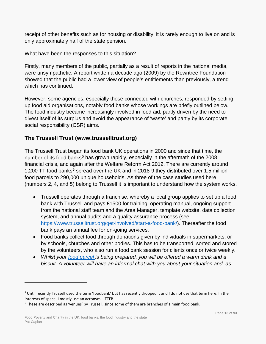receipt of other benefits such as for housing or disability, it is rarely enough to live on and is only approximately half of the state pension.

What have been the responses to this situation?

Firstly, many members of the public, partially as a result of reports in the national media, were unsympathetic. A report written a decade ago (2009) by the Rowntree Foundation showed that the public had a lower view of people's entitlements than previously, a trend which has continued.

However, some agencies, especially those connected with churches, responded by setting up food aid organisations, notably food banks whose workings are briefly outlined below. The food industry became increasingly involved in food aid, partly driven by the need to divest itself of its surplus and avoid the appearance of 'waste' and partly by its corporate social responsibility (CSR) aims.

## <span id="page-12-0"></span>**The Trussell Trust (www.trusselltrust.org)**

The Trussell Trust began its food bank UK operations in 2000 and since that time, the number of its food banks<sup>[5](#page-12-1)</sup> has grown rapidly, especially in the aftermath of the 2008 financial crisis, and again after the Welfare Reform Act 2012. There are currently around 1,200 TT food banks<sup>[6](#page-12-2)</sup> spread over the UK and in 2018-9 they distributed over 1.5 million food parcels to 290,000 unique households. As three of the case studies used here (numbers 2, 4, and 5) belong to Trussell it is important to understand how the system works.

- Trussell operates through a franchise, whereby a local group applies to set up a food bank with Trussell and pays £1500 for training, operating manual, ongoing support from the national staff team and the Area Manager, template website, data collection system, and annual audits and a quality assurance process (see [https://www.trusselltrust.org/get-involved/start-a-food-bank/\)](https://www.trusselltrust.org/get-involved/start-a-food-bank/). Thereafter the food bank pays an annual fee for on-going services.
- Food banks collect food through donations given by individuals in supermarkets, or by schools, churches and other bodies. This has to be transported, sorted and stored by the volunteers, who also run a food bank session for clients once or twice weekly.
- *Whilst your [food parcel](https://www.trusselltrust.org/get-help/emergency-food/food/) is being prepared, you will be offered a warm drink and a biscuit. A volunteer will have an informal chat with you about your situation and, as*

<span id="page-12-1"></span><sup>&</sup>lt;sup>5</sup> Until recently Trussell used the term 'foodbank' but has recently dropped it and I do not use that term here. In the interests of space, I mostly use an acronym – TTFB.

<span id="page-12-2"></span> $6$  These are described as 'venues' by Trussell, since some of them are branches of a main food bank.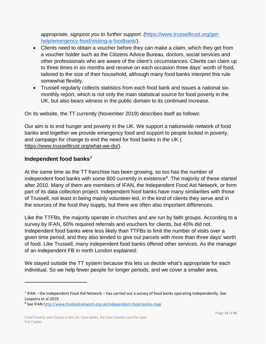*appropriate, signpost you to further support. (*[https://www.trusselltrust.org/get](https://www.trusselltrust.org/get-help/emergency-food/visiting-a-foodbank/)[help/emergency-food/visiting-a-foodbank/\)](https://www.trusselltrust.org/get-help/emergency-food/visiting-a-foodbank/).

- Clients need to obtain a voucher before they can make a claim, which they get from a voucher holder such as the Citizens Advice Bureau, doctors, social services and other professionals who are aware of the client's circumstances. Clients can claim up to three times in six months and receive on each occasion three days' worth of food, tailored to the size of their household, although many food banks interpret this rule somewhat flexibly.
- Trussell regularly collects statistics from each food bank and issues a national sixmonthly report, which is not only the main statistical source for food poverty in the UK, but also bears witness in the public domain to its continued increase.

On its website, the TT currently (November 2019) describes itself as follows:

Our aim is to end hunger and poverty in the UK. We support a nationwide network of food banks and together we provide emergency food and support to people locked in poverty, and campaign for change to end the need for food banks in the UK ( [https://www.trusselltrust.org/what-we-do/\)](https://www.trusselltrust.org/what-we-do/).

## <span id="page-13-0"></span>**Independent food banks[7](#page-13-1)**

 $\overline{a}$ 

At the same time as the TT franchise has been growing, so too has the number of independent food banks with some 800 currently in existence<sup>8</sup>. The majority of these started after 2010. Many of them are members of IFAN, the Independent Food Aid Network, or form part of its data collection project. Independent food banks have many similarities with those of Trussell, not least in being mainly volunteer-led, in the kind of clients they serve and in the sources of the food they supply, but there are often also important differences.

Like the TTFBs, the majority operate in churches and are run by faith groups. According to a survey by IFAN, 60% required referrals and vouchers for clients, but 40% did not. Independent food banks were less likely than TTFBs to limit the number of visits over a given time period, and they also tended to give out parcels with more than three days' worth of food. Like Trussell, many independent food banks offered other services. As the manager of an independent FB in north London explained:

We stayed outside the TT system because this lets us decide what's appropriate for each individual. So we help fewer people for longer periods, and we cover a smaller area,

<span id="page-13-1"></span> $<sup>7</sup>$  IFAN – the Independent Food Aid Network – has carried out a survey of food banks operating independently. See</sup> Loopstra et al 2019.

<span id="page-13-2"></span><sup>&</sup>lt;sup>8</sup> See IFA[N http://www.foodaidnetwork.org.uk/independent-food-banks-map](http://www.foodaidnetwork.org.uk/independent-food-banks-map)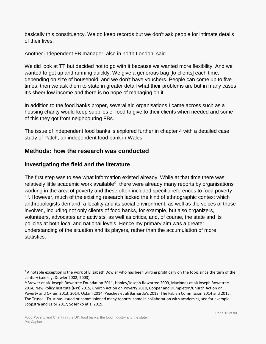basically this constituency. We do keep records but we don't ask people for intimate details of their lives.

Another independent FB manager, also in north London, said

We did look at TT but decided not to go with it because we wanted more flexibility. And we wanted to get up and running quickly. We give a generous bag [to clients] each time, depending on size of household, and we don't have vouchers. People can come up to five times, then we ask them to state in greater detail what their problems are but in many cases it's sheer low income and there is no hope of managing on it.

In addition to the food banks proper, several aid organisations I came across such as a housing charity would keep supplies of food to give to their clients when needed and some of this they got from neighbouring FBs.

The issue of independent food banks is explored further in chapter 4 with a detailed case study of Patch, an independent food bank in Wales.

## <span id="page-14-0"></span>**Methods: how the research was conducted**

## <span id="page-14-1"></span>**Investigating the field and the literature**

 $\overline{a}$ 

The first step was to see what information existed already. While at that time there was relatively little academic work available<sup>9</sup>, there were already many reports by organisations working in the area of poverty and these often included specific references to food poverty  $10$ . However, much of the existing research lacked the kind of ethnographic context which anthropologists demand: a locality and its social environment, as well as the voices of those involved, including not only clients of food banks, for example, but also organizers, volunteers, advocates and activists, as well as critics, and, of course, the state and its policies at both local and national levels. Hence my primary aim was a greater understanding of the situation and its players, rather than the accumulation of more statistics.

<span id="page-14-2"></span><sup>&</sup>lt;sup>9</sup> A notable exception is the work of Elizabeth Dowler who has been writing prolifically on the topic since the turn of the century (see e.g. Dowler 2002, 2003).

<span id="page-14-3"></span><sup>10</sup>Brewer et al/ Joseph Rowntree Foundation 2011, Hanley/Joseph Rowntree 2009, Macinnes et al/Joseph Rowntree 2014, New Policy Institute (NPI) 2015, Church Action on Poverty 2010, Cooper and Dumpleton/Church Action on Poverty and Oxfam 2013, 2014, Oxfam 2014, Peachey et al/Barnardo's 2013, The Fabian Commission 2014 and 2015. The Trussell Trust has issued or commissioned many reports, some in collaboration with academics, see for example Loopstra and Lalor 2017, Sosenko et al 2019.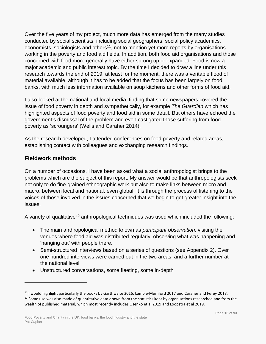Over the five years of my project, much more data has emerged from the many studies conducted by social scientists, including social geographers, social policy academics, economists, sociologists and others<sup>[11](#page-15-1)</sup>, not to mention yet more reports by organisations working in the poverty and food aid fields. In addition, both food aid organisations and those concerned with food more generally have either sprung up or expanded. Food is now a major academic and public interest topic. By the time I decided to draw a line under this research towards the end of 2019, at least for the moment, there was a veritable flood of material available, although it has to be added that the focus has been largely on food banks, with much less information available on soup kitchens and other forms of food aid.

I also looked at the national and local media, finding that some newspapers covered the issue of food poverty in depth and sympathetically, for example *The Guardian* which has highlighted aspects of food poverty and food aid in some detail. But others have echoed the government's dismissal of the problem and even castigated those suffering from food poverty as 'scroungers' (Wells and Caraher 2014).

As the research developed, I attended conferences on food poverty and related areas, establishing contact with colleagues and exchanging research findings.

## <span id="page-15-0"></span>**Fieldwork methods**

 $\overline{a}$ 

On a number of occasions, I have been asked what a social anthropologist brings to the problems which are the subject of this report. My answer would be that anthropologists seek not only to do fine-grained ethnographic work but also to make links between micro and macro, between local and national, even global. It is through the process of listening to the voices of those involved in the issues concerned that we begin to get greater insight into the issues.

A variety of qualitative<sup>[12](#page-15-2)</sup> anthropological techniques was used which included the following:

- The main anthropological method known as *participant observation*, visiting the venues where food aid was distributed regularly, observing what was happening and 'hanging out' with people there.
- Semi-structured interviews based on a series of questions (see Appendix 2). Over one hundred interviews were carried out in the two areas, and a further number at the national level
- Unstructured conversations, some fleeting, some in-depth

<span id="page-15-2"></span><span id="page-15-1"></span> $11$  I would highlight particularly the books by Garthwaite 2016, Lambie-Mumford 2017 and Caraher and Furey 2018. <sup>12</sup> Some use was also made of quantitative data drawn from the statistics kept by organisations researched and from the wealth of published material, which most recently includes Osenko et al 2019 and Loopstra et al 2019.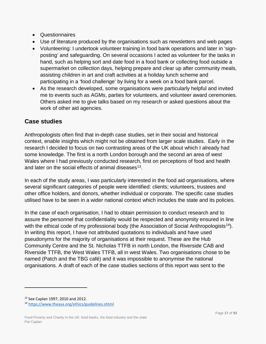- Questionnaires
- Use of literature produced by the organisations such as newsletters and web pages
- Volunteering: I undertook volunteer training in food bank operations and later in 'signposting' and safeguarding. On several occasions I acted as volunteer for the tasks in hand, such as helping sort and date food in a food bank or collecting food outside a supermarket on collection days, helping prepare and clear up after community meals, assisting children in art and craft activities at a holiday lunch scheme and participating in a 'food challenge' by living for a week on a food bank parcel.
- As the research developed, some organisations were particularly helpful and invited me to events such as AGMs, parties for volunteers, and volunteer award ceremonies. Others asked me to give talks based on my research or asked questions about the work of other aid agencies.

## <span id="page-16-0"></span>**Case studies**

Anthropologists often find that in-depth case studies, set in their social and historical context, enable insights which might not be obtained from larger scale studies. Early in the research I decided to focus on two contrasting areas of the UK about which I already had some knowledge. The first is a north London borough and the second an area of west Wales where I had previously conducted research, first on perceptions of food and health and later on the social effects of animal diseases<sup>13</sup>.

In each of the study areas, I was particularly interested in the food aid organisations, where several significant categories of people were identified: clients; volunteers, trustees and other office holders, and donors, whether individual or corporate. The specific case studies utilised have to be seen in a wider national context which includes the state and its policies.

In the case of each organisation, I had to obtain permission to conduct research and to assure the personnel that confidentiality would be respected and anonymity ensured in line with the ethical code of my professional body (the Association of Social Anthropologists<sup>14</sup>). In writing this report, I have not attributed quotations to individuals and have used pseudonyms for the majority of organisations at their request. These are the Hub Community Centre and the St. Nicholas TTFB in north London, the Riverside CAB and Riverside TTFB, the West Wales TTFB, all in west Wales. Two organisations chose to be named (Patch and the TBG café) and it was impossible to anonymise the national organisations. A draft of each of the case studies sections of this report was sent to the

<span id="page-16-1"></span><sup>13</sup> See Caplan 1997, 2010 and 2012.

<span id="page-16-2"></span><sup>14</sup> <https://www.theasa.org/ethics/guidelines.shtml>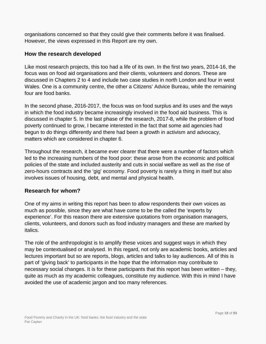organisations concerned so that they could give their comments before it was finalised. However, the views expressed in this Report are my own.

## <span id="page-17-0"></span>**How the research developed**

Like most research projects, this too had a life of its own. In the first two years, 2014-16, the focus was on food aid organisations and their clients, volunteers and donors. These are discussed in Chapters 2 to 4 and include two case studies in north London and four in west Wales. One is a community centre, the other a Citizens' Advice Bureau, while the remaining four are food banks.

In the second phase, 2016-2017, the focus was on food surplus and its uses and the ways in which the food industry became increasingly involved in the food aid business. This is discussed in chapter 5. In the last phase of the research, 2017-8, while the problem of food poverty continued to grow, I became interested in the fact that some aid agencies had begun to do things differently and there had been a growth in activism and advocacy, matters which are considered in chapter 6.

Throughout the research, it became ever clearer that there were a number of factors which led to the increasing numbers of the food poor: these arose from the economic and political policies of the state and included austerity and cuts in social welfare as well as the rise of zero-hours contracts and the 'gig' economy. Food poverty is rarely a thing in itself but also involves issues of housing, debt, and mental and physical health.

#### <span id="page-17-1"></span>**Research for whom?**

One of my aims in writing this report has been to allow respondents their own voices as much as possible, since they are what have come to be the called the 'experts by experience'. For this reason there are extensive quotations from organisation managers, clients, volunteers, and donors such as food industry managers and these are marked by italics.

The role of the anthropologist is to amplify these voices and suggest ways in which they may be contextualised or analysed. In this regard, not only are academic books, articles and lectures important but so are reports, blogs, articles and talks to lay audiences. All of this is part of 'giving back' to participants in the hope that the information may contribute to necessary social changes. It is for these participants that this report has been written – they, quite as much as my academic colleagues, constitute my audience. With this in mind I have avoided the use of academic jargon and too many references.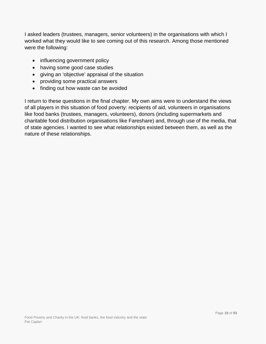I asked leaders (trustees, managers, senior volunteers) in the organisations with which I worked what they would like to see coming out of this research. Among those mentioned were the following:

- influencing government policy
- having some good case studies
- giving an 'objective' appraisal of the situation
- providing some practical answers
- finding out how waste can be avoided

I return to these questions in the final chapter. My own aims were to understand the views of all players in this situation of food poverty: recipients of aid, volunteers in organisations like food banks (trustees, managers, volunteers), donors (including supermarkets and charitable food distribution organisations like Fareshare) and, through use of the media, that of state agencies. I wanted to see what relationships existed between them, as well as the nature of these relationships.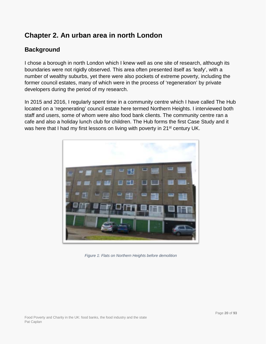# <span id="page-19-0"></span>**Chapter 2. An urban area in north London**

## <span id="page-19-1"></span>**Background**

I chose a borough in north London which I knew well as one site of research, although its boundaries were not rigidly observed. This area often presented itself as 'leafy', with a number of wealthy suburbs, yet there were also pockets of extreme poverty, including the former council estates, many of which were in the process of 'regeneration' by private developers during the period of my research.

In 2015 and 2016, I regularly spent time in a community centre which I have called The Hub located on a 'regenerating' council estate here termed Northern Heights. I interviewed both staff and users, some of whom were also food bank clients. The community centre ran a cafe and also a holiday lunch club for children. The Hub forms the first Case Study and it was here that I had my first lessons on living with poverty in 21<sup>st</sup> century UK.



*Figure 1: Flats on Northern Heights before demolition*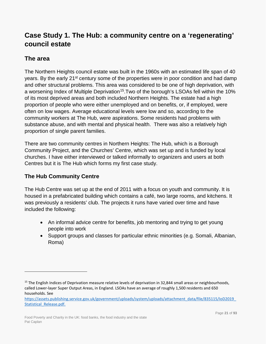# <span id="page-20-0"></span>**Case Study 1. The Hub: a community centre on a 'regenerating' council estate**

## <span id="page-20-1"></span>**The area**

 $\overline{a}$ 

The Northern Heights council estate was built in the 1960s with an estimated life span of 40 years. By the early 21<sup>st</sup> century some of the properties were in poor condition and had damp and other structural problems. This area was considered to be one of high deprivation, with a worsening Index of Multiple Deprivation<sup>15</sup>. Two of the borough's LSOAs fell within the 10% of its most deprived areas and both included Northern Heights. The estate had a high proportion of people who were either unemployed and on benefits, or, if employed, were often on low wages. Average educational levels were low and so, according to the community workers at The Hub, were aspirations. Some residents had problems with substance abuse, and with mental and physical health. There was also a relatively high proportion of single parent families.

There are two community centres in Northern Heights: The Hub, which is a Borough Community Project, and the Churches' Centre, which was set up and is funded by local churches. I have either interviewed or talked informally to organizers and users at both Centres but it is The Hub which forms my first case study.

## <span id="page-20-2"></span>**The Hub Community Centre**

The Hub Centre was set up at the end of 2011 with a focus on youth and community. It is housed in a prefabricated building which contains a café, two large rooms, and kitchens. It was previously a residents' club. The projects it runs have varied over time and have included the following:

- An informal advice centre for benefits, job mentoring and trying to get young people into work
- Support groups and classes for particular ethnic minorities (e.g. Somali, Albanian, Roma)

<span id="page-20-3"></span> $15$  The English Indices of Deprivation measure relative levels of deprivation in 32,844 small areas or neighbourhoods, called Lower-layer Super Output Areas, in England. LSOAs have an average of roughly 1,500 residents and 650 households. See

[https://assets.publishing.service.gov.uk/government/uploads/system/uploads/attachment\\_data/file/835115/IoD2019\\_](https://assets.publishing.service.gov.uk/government/uploads/system/uploads/attachment_data/file/835115/IoD2019_Statistical_Release.pdf) Statistical Release.pdf.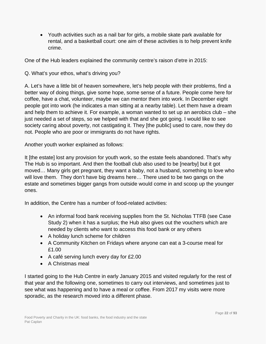• Youth activities such as a nail bar for girls, a mobile skate park available for rental, and a basketball court: one aim of these activities is to help prevent knife crime.

One of the Hub leaders explained the community centre's raison d'etre in 2015:

Q. What's your ethos, what's driving you?

A. Let's have a little bit of heaven somewhere, let's help people with their problems, find a better way of doing things, give some hope, some sense of a future. People come here for coffee, have a chat, volunteer, maybe we can mentor them into work. In December eight people got into work (he indicates a man sitting at a nearby table). Let them have a dream and help them to achieve it. For example, a woman wanted to set up an aerobics club – she just needed a set of steps, so we helped with that and she got going. I would like to see society caring about poverty, not castigating it. They [the public] used to care, now they do not. People who are poor or immigrants do not have rights.

Another youth worker explained as follows:

It [the estate] lost any provision for youth work, so the estate feels abandoned. That's why The Hub is so important. And then the football club also used to be [nearby] but it got moved… Many girls get pregnant, they want a baby, not a husband, something to love who will love them. They don't have big dreams here… There used to be two gangs on the estate and sometimes bigger gangs from outside would come in and scoop up the younger ones.

In addition, the Centre has a number of food-related activities:

- An informal food bank receiving supplies from the St. Nicholas TTFB (see Case Study 2) when it has a surplus; the Hub also gives out the vouchers which are needed by clients who want to access this food bank or any others
- A holiday lunch scheme for children
- A Community Kitchen on Fridays where anyone can eat a 3-course meal for £1.00
- A café serving lunch every day for £2.00
- A Christmas meal

I started going to the Hub Centre in early January 2015 and visited regularly for the rest of that year and the following one, sometimes to carry out interviews, and sometimes just to see what was happening and to have a meal or coffee. From 2017 my visits were more sporadic, as the research moved into a different phase.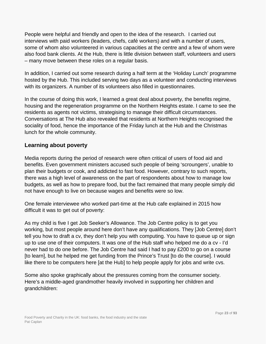People were helpful and friendly and open to the idea of the research. I carried out interviews with paid workers (leaders, chefs, café workers) and with a number of users, some of whom also volunteered in various capacities at the centre and a few of whom were also food bank clients. At the Hub, there is little division between staff, volunteers and users – many move between these roles on a regular basis.

In addition, I carried out some research during a half term at the 'Holiday Lunch' programme hosted by the Hub. This included serving two days as a volunteer and conducting interviews with its organizers. A number of its volunteers also filled in questionnaires.

In the course of doing this work, I learned a great deal about poverty, the benefits regime, housing and the regeneration programme on the Northern Heights estate. I came to see the residents as agents not victims, strategising to manage their difficult circumstances. Conversations at The Hub also revealed that residents at Northern Heights recognised the sociality of food, hence the importance of the Friday lunch at the Hub and the Christmas lunch for the whole community.

## <span id="page-22-0"></span>**Learning about poverty**

Media reports during the period of research were often critical of users of food aid and benefits. Even government ministers accused such people of being 'scroungers', unable to plan their budgets or cook, and addicted to fast food. However, contrary to such reports, there was a high level of awareness on the part of respondents about how to manage low budgets, as well as how to prepare food, but the fact remained that many people simply did not have enough to live on because wages and benefits were so low.

One female interviewee who worked part-time at the Hub cafe explained in 2015 how difficult it was to get out of poverty:

As my child is five I get Job Seeker's Allowance. The Job Centre policy is to get you working, but most people around here don't have any qualifications. They [Job Centre] don't tell you how to draft a cv, they don't help you with computing. You have to queue up or sign up to use one of their computers. It was one of the Hub staff who helped me do a cv - I'd never had to do one before. The Job Centre had said I had to pay £200 to go on a course [to learn], but he helped me get funding from the Prince's Trust [to do the course]. I would like there to be computers here [at the Hub] to help people apply for jobs and write cvs.

Some also spoke graphically about the pressures coming from the consumer society. Here's a middle-aged grandmother heavily involved in supporting her children and grandchildren: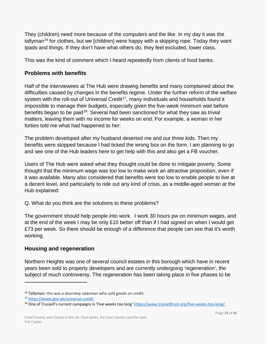They (children) need more because of the computers and the like. In my day it was the tallyman<sup>[16](#page-23-2)</sup> for clothes, but we [children] were happy with a skipping rope. Today they want Ipads and things. If they don't have what others do, they feel excluded, lower class.

This was the kind of comment which I heard repeatedly from clients of food banks.

#### <span id="page-23-0"></span>**Problems with benefits**

Half of the interviewees at The Hub were drawing benefits and many complained about the difficulties caused by changes in the benefits regime. Under the further reform of the welfare system with the roll-out of Universal Credit<sup>17</sup>, many individuals and households found it impossible to manage their budgets, especially given the five-week minimum wait before benefits began to be paid<sup>18</sup>. Several had been sanctioned for what they saw as trivial matters, leaving them with no income for weeks on end. For example, a woman in her forties told me what had happened to her:

The problem developed after my husband deserted me and our three kids. Then my benefits were stopped because I had ticked the wrong box on the form. I am planning to go and see one of the Hub leaders here to get help with this and also get a FB voucher.

Users of The Hub were asked what they thought could be done to mitigate poverty. Some thought that the minimum wage was too low to make work an attractive proposition, even if it was available. Many also considered that benefits were too low to enable people to live at a decent level, and particularly to ride out any kind of crisis, as a middle-aged woman at the Hub explained:

Q. What do you think are the solutions to these problems?

The government should help people into work. I work 30 hours pw on minimum wages, and at the end of the week I may be only £10 better off than if I had signed on when I would get £73 per week. So there should be enough of a difference that people can see that it's worth working.

## <span id="page-23-1"></span>**Housing and regeneration**

Northern Heights was one of several council estates in this borough which have in recent years been sold to property developers and are currently undergoing 'regeneration', the subject of much controversy. The regeneration has been taking place in five phases to be

<span id="page-23-2"></span> $16$  Tallyman: this was a doorstep salesman who sold goods on credit.

<span id="page-23-3"></span><sup>17</sup> [https://www.gov.uk/universal-credit.](https://www.gov.uk/universal-credit)

<span id="page-23-4"></span> $18$  One of Trussell's current campaigns is 'Five weeks too long[' https://www.trusselltrust.org/five-weeks-too-long/.](https://www.trusselltrust.org/five-weeks-too-long/)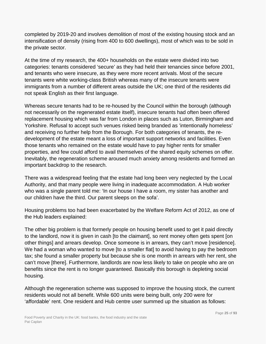completed by 2019-20 and involves demolition of most of the existing housing stock and an intensification of density (rising from 400 to 600 dwellings), most of which was to be sold in the private sector.

At the time of my research, the 400+ households on the estate were divided into two categories: tenants considered 'secure' as they had held their tenancies since before 2001, and tenants who were insecure, as they were more recent arrivals. Most of the secure tenants were white working-class British whereas many of the insecure tenants were immigrants from a number of different areas outside the UK; one third of the residents did not speak English as their first language.

Whereas secure tenants had to be re-housed by the Council within the borough (although not necessarily on the regenerated estate itself), insecure tenants had often been offered replacement housing which was far from London in places such as Luton, Birmingham and Yorkshire. Refusal to accept such venues risked being branded as 'intentionally homeless' and receiving no further help from the Borough. For both categories of tenants, the redevelopment of the estate meant a loss of important support networks and facilities. Even those tenants who remained on the estate would have to pay higher rents for smaller properties, and few could afford to avail themselves of the shared equity schemes on offer. Inevitably, the regeneration scheme aroused much anxiety among residents and formed an important backdrop to the research.

There was a widespread feeling that the estate had long been very neglected by the Local Authority, and that many people were living in inadequate accommodation. A Hub worker who was a single parent told me: 'In our house I have a room, my sister has another and our children have the third. Our parent sleeps on the sofa'.

Housing problems too had been exacerbated by the Welfare Reform Act of 2012, as one of the Hub leaders explained:

The other big problem is that formerly people on housing benefit used to get it paid directly to the landlord, now it is given in cash [to the claimant], so rent money often gets spent [on other things] and arrears develop. Once someone is in arrears, they can't move [residence]. We had a woman who wanted to move [to a smaller flat] to avoid having to pay the bedroom tax; she found a smaller property but because she is one month in arrears with her rent, she can't move [there]. Furthermore, landlords are now less likely to take on people who are on benefits since the rent is no longer guaranteed. Basically this borough is depleting social housing.

Although the regeneration scheme was supposed to improve the housing stock, the current residents would not all benefit. While 600 units were being built, only 200 were for 'affordable' rent. One resident and Hub centre user summed up the situation as follows: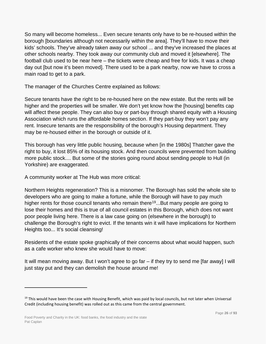So many will become homeless... Even secure tenants only have to be re-housed within the borough [boundaries although not necessarily within the area]. They'll have to move their kids' schools. They've already taken away our school ... and they've increased the places at other schools nearby. They took away our community club and moved it [elsewhere]. The football club used to be near here – the tickets were cheap and free for kids. It was a cheap day out [but now it's been moved]. There used to be a park nearby, now we have to cross a main road to get to a park.

The manager of the Churches Centre explained as follows:

Secure tenants have the right to be re-housed here on the new estate. But the rents will be higher and the properties will be smaller. We don't yet know how the [housing] benefits cap will affect these people. They can also buy or part-buy through shared equity with a Housing Association which runs the affordable homes section. If they part-buy they won't pay any rent. Insecure tenants are the responsibility of the borough's Housing department. They may be re-housed either in the borough or outside of it.

This borough has very little public housing, because when [in the 1980s] Thatcher gave the right to buy, it lost 85% of its housing stock. And then councils were prevented from building more public stock.... But some of the stories going round about sending people to Hull (in Yorkshire) are exaggerated.

A community worker at The Hub was more critical:

Northern Heights regeneration? This is a misnomer. The Borough has sold the whole site to developers who are going to make a fortune, while the Borough will have to pay much higher rents for those council tenants who remain there<sup>19</sup>...But many people are going to lose their homes and this is true of all council estates in this Borough, which does not want poor people living here. There is a law case going on (elsewhere in the borough) to challenge the Borough's right to evict. If the tenants win it will have implications for Northern Heights too... It's social cleansing!

Residents of the estate spoke graphically of their concerns about what would happen, such as a cafe worker who knew she would have to move:

It will mean moving away. But I won't agree to go far – if they try to send me [far away] I will just stay put and they can demolish the house around me!

<span id="page-25-0"></span><sup>&</sup>lt;sup>19</sup> This would have been the case with Housing Benefit, which was paid by local councils, but not later when Universal Credit (including housing benefit) was rolled out as this came from the central government.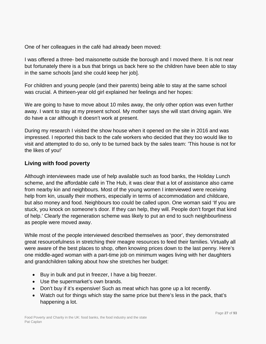One of her colleagues in the café had already been moved:

I was offered a three- bed maisonette outside the borough and I moved there. It is not near but fortunately there is a bus that brings us back here so the children have been able to stay in the same schools [and she could keep her job].

For children and young people (and their parents) being able to stay at the same school was crucial. A thirteen-year old girl explained her feelings and her hopes:

We are going to have to move about 10 miles away, the only other option was even further away. I want to stay at my present school. My mother says she will start driving again. We do have a car although it doesn't work at present.

During my research I visited the show house when it opened on the site in 2016 and was impressed. I reported this back to the cafe workers who decided that they too would like to visit and attempted to do so, only to be turned back by the sales team: 'This house is not for the likes of you!'

## <span id="page-26-0"></span>**Living with food poverty**

Although interviewees made use of help available such as food banks, the Holiday Lunch scheme, and the affordable café in The Hub, it was clear that a lot of assistance also came from nearby kin and neighbours. Most of the young women I interviewed were receiving help from kin, usually their mothers, especially in terms of accommodation and childcare, but also money and food. Neighbours too could be called upon. One woman said 'If you are stuck, you knock on someone's door. If they can help, they will. People don't forget that kind of help.' Clearly the regeneration scheme was likely to put an end to such neighbourliness as people were moved away.

While most of the people interviewed described themselves as 'poor', they demonstrated great resourcefulness in stretching their meagre resources to feed their families. Virtually all were aware of the best places to shop, often knowing prices down to the last penny. Here's one middle-aged woman with a part-time job on minimum wages living with her daughters and grandchildren talking about how she stretches her budget:

- Buy in bulk and put in freezer, I have a big freezer.
- Use the supermarket's own brands.
- Don't buy if it's expensive! Such as meat which has gone up a lot recently.
- Watch out for things which stay the same price but there's less in the pack, that's happening a lot.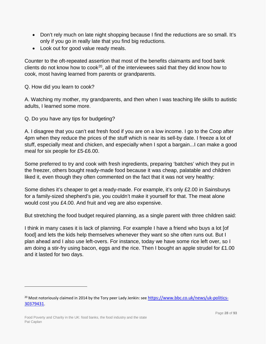- Don't rely much on late night shopping because I find the reductions are so small. It's only if you go in really late that you find big reductions.
- Look out for good value ready meals.

Counter to the oft-repeated assertion that most of the benefits claimants and food bank clients do not know how to  $\cosh^{20}$ , all of the interviewees said that they did know how to cook, most having learned from parents or grandparents.

#### Q. How did you learn to cook?

A. Watching my mother, my grandparents, and then when I was teaching life skills to autistic adults, I learned some more.

Q. Do you have any tips for budgeting?

A. I disagree that you can't eat fresh food if you are on a low income. I go to the Coop after 4pm when they reduce the prices of the stuff which is near its sell-by date. I freeze a lot of stuff, especially meat and chicken, and especially when I spot a bargain...I can make a good meal for six people for £5-£6.00.

Some preferred to try and cook with fresh ingredients, preparing 'batches' which they put in the freezer, others bought ready-made food because it was cheap, palatable and children liked it, even though they often commented on the fact that it was not very healthy:

Some dishes it's cheaper to get a ready-made. For example, it's only £2.00 in Sainsburys for a family-sized shepherd's pie, you couldn't make it yourself for that. The meat alone would cost you £4.00. And fruit and veg are also expensive.

But stretching the food budget required planning, as a single parent with three children said:

I think in many cases it is lack of planning. For example I have a friend who buys a lot [of food] and lets the kids help themselves whenever they want so she often runs out. But I plan ahead and I also use left-overs. For instance, today we have some rice left over, so I am doing a stir-fry using bacon, eggs and the rice. Then I bought an apple strudel for £1.00 and it lasted for two days.

<span id="page-27-0"></span><sup>&</sup>lt;sup>20</sup> Most notoriously claimed in 2014 by the Tory peer Lady Jenkin: see [https://www.bbc.co.uk/news/uk-politics-](https://www.bbc.co.uk/news/uk-politics-30379431)[30379431.](https://www.bbc.co.uk/news/uk-politics-30379431)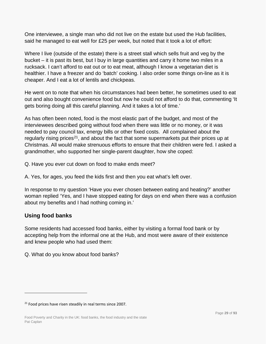One interviewee, a single man who did not live on the estate but used the Hub facilities, said he managed to eat well for £25 per week, but noted that it took a lot of effort:

Where I live (outside of the estate) there is a street stall which sells fruit and veg by the bucket – it is past its best, but I buy in large quantities and carry it home two miles in a rucksack. I can't afford to eat out or to eat meat, although I know a vegetarian diet is healthier. I have a freezer and do 'batch' cooking. I also order some things on-line as it is cheaper. And I eat a lot of lentils and chickpeas.

He went on to note that when his circumstances had been better, he sometimes used to eat out and also bought convenience food but now he could not afford to do that, commenting 'It gets boring doing all this careful planning. And it takes a lot of time.'

As has often been noted, food is the most elastic part of the budget, and most of the interviewees described going without food when there was little or no money, or it was needed to pay council tax, energy bills or other fixed costs. All complained about the regularly rising prices<sup>[21](#page-28-1)</sup>, and about the fact that some supermarkets put their prices up at Christmas. All would make strenuous efforts to ensure that their children were fed. I asked a grandmother, who supported her single-parent daughter, how she coped:

- Q. Have you ever cut down on food to make ends meet?
- A. Yes, for ages, you feed the kids first and then you eat what's left over.

In response to my question 'Have you ever chosen between eating and heating?' another woman replied 'Yes, and I have stopped eating for days on end when there was a confusion about my benefits and I had nothing coming in.'

## <span id="page-28-0"></span>**Using food banks**

 $\overline{a}$ 

Some residents had accessed food banks, either by visiting a formal food bank or by accepting help from the informal one at the Hub, and most were aware of their existence and knew people who had used them:

Q. What do you know about food banks?

<span id="page-28-1"></span> $21$  Food prices have risen steadily in real terms since 2007.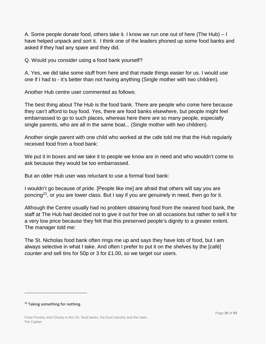A. Some people donate food, others take it. I know we run one out of here (The Hub) – I have helped unpack and sort it. I think one of the leaders phoned up some food banks and asked if they had any spare and they did.

Q. Would you consider using a food bank yourself?

A. Yes, we did take some stuff from here and that made things easier for us. I would use one if I had to - it's better than not having anything (Single mother with two children).

Another Hub centre user commented as follows:

The best thing about The Hub is the food bank. There are people who come here because they can't afford to buy food. Yes, there are food banks elsewhere, but people might feel embarrassed to go to such places, whereas here there are so many people, especially single parents, who are all in the same boat... (Single mother with two children).

Another single parent with one child who worked at the cafe told me that the Hub regularly received food from a food bank:

We put it in boxes and we take it to people we know are in need and who wouldn't come to ask because they would be too embarrassed.

But an older Hub user was reluctant to use a formal food bank:

I wouldn't go because of pride. [People like me] are afraid that others will say you are poncing<sup>[22](#page-29-0)</sup>, or you are lower class. But I say if you are genuinely in need, then go for it.

Although the Centre usually had no problem obtaining food from the nearest food bank, the staff at The Hub had decided not to give it out for free on all occasions but rather to sell it for a very low price because they felt that this preserved people's dignity to a greater extent. The manager told me:

The St. Nicholas food bank often rings me up and says they have lots of food, but I am always selective in what I take. And often I prefer to put it on the shelves by the [café] counter and sell tins for 50p or 3 for £1.00, so we target our users.

<span id="page-29-0"></span><sup>&</sup>lt;sup>22</sup> Taking something for nothing.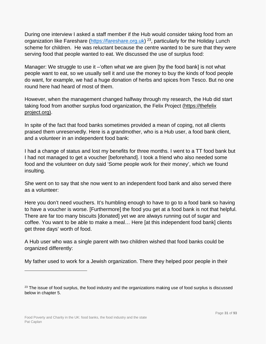During one interview I asked a staff member if the Hub would consider taking food from an organization like Fareshare [\(https://fareshare.org.uk\)](https://fareshare.org.uk/)<sup>23</sup>, particularly for the Holiday Lunch scheme for children. He was reluctant because the centre wanted to be sure that they were serving food that people wanted to eat. We discussed the use of surplus food:

Manager: We struggle to use it –'often what we are given [by the food bank] is not what people want to eat, so we usually sell it and use the money to buy the kinds of food people do want, for example, we had a huge donation of herbs and spices from Tesco. But no one round here had heard of most of them.

However, when the management changed halfway through my research, the Hub did start taking food from another surplus food organization, the Felix Project (https://thefelix project.org).

In spite of the fact that food banks sometimes provided a mean of coping, not all clients praised them unreservedly. Here is a grandmother, who is a Hub user, a food bank client, and a volunteer in an independent food bank:

I had a change of status and lost my benefits for three months. I went to a TT food bank but I had not managed to get a voucher [beforehand]. I took a friend who also needed some food and the volunteer on duty said 'Some people work for their money', which we found insulting.

She went on to say that she now went to an independent food bank and also served there as a volunteer:

Here you don't need vouchers. It's humbling enough to have to go to a food bank so having to have a voucher is worse. [Furthermore] the food you get at a food bank is not that helpful. There are far too many biscuits [donated] yet we are always running out of sugar and coffee. You want to be able to make a meal… Here [at this independent food bank] clients get three days' worth of food.

A Hub user who was a single parent with two children wished that food banks could be organized differently:

My father used to work for a Jewish organization. There they helped poor people in their

<span id="page-30-0"></span><sup>&</sup>lt;sup>23</sup> The issue of food surplus, the food industry and the organizations making use of food surplus is discussed below in chapter 5.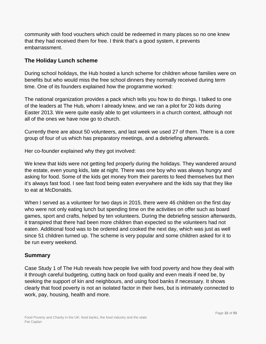community with food vouchers which could be redeemed in many places so no one knew that they had received them for free. I think that's a good system, it prevents embarrassment.

## <span id="page-31-0"></span>**The Holiday Lunch scheme**

During school holidays, the Hub hosted a lunch scheme for children whose families were on benefits but who would miss the free school dinners they normally received during term time. One of its founders explained how the programme worked:

The national organization provides a pack which tells you how to do things. I talked to one of the leaders at The Hub, whom I already knew, and we ran a pilot for 20 kids during Easter 2013. We were quite easily able to get volunteers in a church context, although not all of the ones we have now go to church.

Currently there are about 50 volunteers, and last week we used 27 of them. There is a core group of four of us which has preparatory meetings, and a debriefing afterwards.

Her co-founder explained why they got involved:

We knew that kids were not getting fed properly during the holidays. They wandered around the estate, even young kids, late at night. There was one boy who was always hungry and asking for food. Some of the kids get money from their parents to feed themselves but then it's always fast food. I see fast food being eaten everywhere and the kids say that they like to eat at McDonalds.

When I served as a volunteer for two days in 2015, there were 46 children on the first day who were not only eating lunch but spending time on the activities on offer such as board games, sport and crafts, helped by ten volunteers. During the debriefing session afterwards, it transpired that there had been more children than expected so the volunteers had not eaten. Additional food was to be ordered and cooked the next day, which was just as well since 51 children turned up. The scheme is very popular and some children asked for it to be run every weekend.

#### <span id="page-31-1"></span>**Summary**

Case Study 1 of The Hub reveals how people live with food poverty and how they deal with it through careful budgeting, cutting back on food quality and even meals if need be, by seeking the support of kin and neighbours, and using food banks if necessary. It shows clearly that food poverty is not an isolated factor in their lives, but is intimately connected to work, pay, housing, health and more.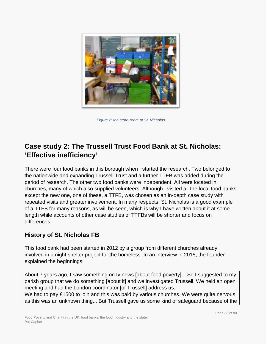

*Figure 2: the store-room at St. Nicholas*

# <span id="page-32-0"></span>**Case study 2: The Trussell Trust Food Bank at St. Nicholas: 'Effective inefficiency'**

There were four food banks in this borough when I started the research. Two belonged to the nationwide and expanding Trussell Trust and a further TTFB was added during the period of research. The other two food banks were independent. All were located in churches, many of which also supplied volunteers. Although I visited all the local food banks except the new one, one of these, a TTFB, was chosen as an in-depth case study with repeated visits and greater involvement. In many respects, St. Nicholas is a good example of a TTFB for many reasons, as will be seen, which is why I have written about it at some length while accounts of other case studies of TTFBs will be shorter and focus on differences.

## <span id="page-32-1"></span>**History of St. Nicholas FB**

This food bank had been started in 2012 by a group from different churches already involved in a night shelter project for the homeless. In an interview in 2015, the founder explained the beginnings:

About 7 years ago, I saw something on tv news [about food poverty] ...So I suggested to my parish group that we do something [about it] and we investigated Trussell. We held an open meeting and had the London coordinator [of Trussell] address us.

We had to pay £1500 to join and this was paid by various churches. We were quite nervous as this was an unknown thing... But Trussell gave us some kind of safeguard because of the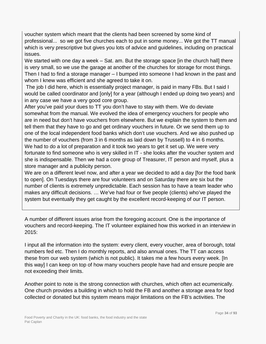voucher system which meant that the clients had been screened by some kind of professional... so we got five churches each to put in some money... We got the TT manual which is very prescriptive but gives you lots of advice and guidelines, including on practical issues.

We started with one day a week – Sat. am. But the storage space [in the church hall] there is very small, so we use the garage at another of the churches for storage for most things. Then I had to find a storage manager – I bumped into someone I had known in the past and whom I knew was efficient and she agreed to take it on.

The job I did here, which is essentially project manager, is paid in many FBs. But I said I would be called coordinator and [only] for a year (although I ended up doing two years) and in any case we have a very good core group.

After you've paid your dues to TT you don't have to stay with them. We do deviate somewhat from the manual. We evolved the idea of emergency vouchers for people who are in need but don't have vouchers from elsewhere. But we explain the system to them and tell them that they have to go and get ordinary vouchers in future. Or we send them up to one of the local independent food banks which don't use vouchers. And we also pushed up the number of vouchers (from 3 in 6 months as laid down by Trussell) to 4 in 6 months. We had to do a lot of preparation and it took two years to get it set up. We were very fortunate to find someone who is very skilled in IT - she looks after the voucher system and she is indispensable. Then we had a core group of Treasurer, IT person and myself, plus a store manager and a publicity person.

We are on a different level now, and after a year we decided to add a day [for the food bank to open]. On Tuesdays there are four volunteers and on Saturday there are six but the number of clients is extremely unpredictable. Each session has to have a team leader who makes any difficult decisions. … We've had four or five people (clients) who've played the system but eventually they get caught by the excellent record-keeping of our IT person.

A number of different issues arise from the foregoing account. One is the importance of vouchers and record-keeping. The IT volunteer explained how this worked in an interview in 2015:

I input all the information into the system: every client, every voucher, area of borough, total numbers fed etc. Then I do monthly reports, and also annual ones. The TT can access these from our web system (which is not public). It takes me a few hours every week. [In this way] I can keep on top of how many vouchers people have had and ensure people are not exceeding their limits.

Another point to note is the strong connection with churches, which often act ecumenically. One church provides a building in which to hold the FB and another a storage area for food collected or donated but this system means major limitations on the FB's activities. The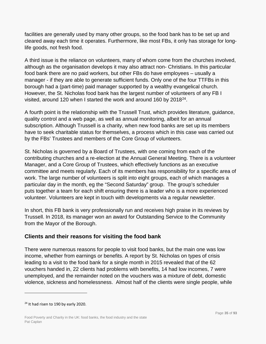facilities are generally used by many other groups, so the food bank has to be set up and cleared away each time it operates. Furthermore, like most FBs, it only has storage for longlife goods, not fresh food.

A third issue is the reliance on volunteers, many of whom come from the churches involved, although as the organisation develops it may also attract non- Christians. In this particular food bank there are no paid workers, but other FBs do have employees – usually a manager - if they are able to generate sufficient funds. Only one of the four TTFBs in this borough had a (part-time) paid manager supported by a wealthy evangelical church. However, the St. Nicholas food bank has the largest number of volunteers of any FB I visited, around 120 when I started the work and around 160 by 2018[24](#page-34-1).

A fourth point is the relationship with the Trussell Trust, which provides literature, guidance, quality control and a web page, as well as annual monitoring, albeit for an annual subscription. Although Trussell is a charity, when new food banks are set up its members have to seek charitable status for themselves, a process which in this case was carried out by the FBs' Trustees and members of the Core Group of volunteers.

St. Nicholas is governed by a Board of Trustees, with one coming from each of the contributing churches and a re-election at the Annual General Meeting. There is a volunteer Manager, and a Core Group of Trustees, which effectively functions as an executive committee and meets regularly. Each of its members has responsibility for a specific area of work. The large number of volunteers is split into eight groups, each of which manages a particular day in the month, eg the "Second Saturday" group. The group's scheduler puts together a team for each shift ensuring there is a leader who is a more experienced volunteer. Volunteers are kept in touch with developments via a regular newsletter.

In short, this FB bank is very professionally run and receives high praise in its reviews by Trussell. In 2018, its manager won an award for Outstanding Service to the Community from the Mayor of the Borough.

## <span id="page-34-0"></span>**Clients and their reasons for visiting the food bank**

There were numerous reasons for people to visit food banks, but the main one was low income, whether from earnings or benefits. A report by St. Nicholas on types of crisis leading to a visit to the food bank for a single month in 2015 revealed that of the 62 vouchers handed in, 22 clients had problems with benefits, 14 had low incomes, 7 were unemployed, and the remainder noted on the vouchers was a mixture of debt, domestic violence, sickness and homelessness. Almost half of the clients were single people, while

<span id="page-34-1"></span> $24$  It had risen to 190 by early 2020.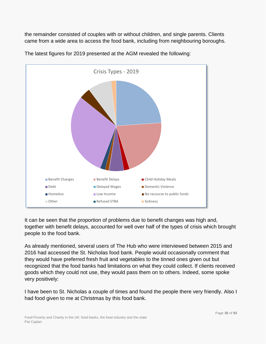the remainder consisted of couples with or without children, and single parents. Clients came from a wide area to access the food bank, including from neighbouring boroughs.



The latest figures for 2019 presented at the AGM revealed the following:

It can be seen that the proportion of problems due to benefit changes was high and, together with benefit delays, accounted for well over half of the types of crisis which brought people to the food bank.

As already mentioned, several users of The Hub who were interviewed between 2015 and 2016 had accessed the St. Nicholas food bank. People would occasionally comment that they would have preferred fresh fruit and vegetables to the tinned ones given out but recognized that the food banks had limitations on what they could collect. If clients received goods which they could not use, they would pass them on to others. Indeed, some spoke very positively:

I have been to St. Nicholas a couple of times and found the people there very friendly. Also I had food given to me at Christmas by this food bank.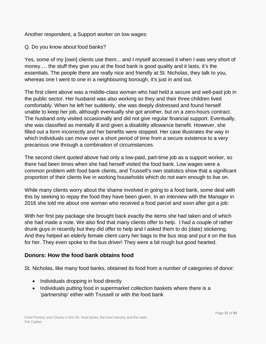Another respondent, a Support worker on low wages:

#### Q. Do you know about food banks?

Yes, some of my [own] clients use them... and I myself accessed it when I was very short of money…. the stuff they give you at the food bank is good quality and it lasts, it's the essentials. The people there are really nice and friendly at St. Nicholas, they talk to you, whereas one I went to one in a neighbouring borough, it's just in and out.

The first client above was a middle-class woman who had held a secure and well-paid job in the public sector. Her husband was also working so they and their three children lived comfortably. When he left her suddenly, she was deeply distressed and found herself unable to keep her job, although eventually she got another, but on a zero-hours contract. The husband only visited occasionally and did not give regular financial support. Eventually, she was classified as mentally ill and given a disability allowance benefit. However, she filled out a form incorrectly and her benefits were stopped. Her case illustrates the way in which individuals can move over a short period of time from a secure existence to a very precarious one through a combination of circumstances.

The second client quoted above had only a low-paid, part-time job as a support worker, so there had been times when she had herself visited the food bank. Low wages were a common problem with food bank clients, and Trussell's own statistics show that a significant proportion of their clients live in working households which do not earn enough to live on.

While many clients worry about the shame involved in going to a food bank, some deal with this by seeking to repay the food they have been given. In an interview with the Manager in 2016 she told me about one woman who received a food parcel and soon after got a job:

With her first pay package she brought back exactly the items she had taken and of which she had made a note. We also find that many clients offer to help. I had a couple of rather drunk guys in recently but they did offer to help and I asked them to do (date) stickering. And they helped an elderly female client carry her bags to the bus stop and put it on the bus for her. They even spoke to the bus driver! They were a bit rough but good hearted.

#### **Donors: How the food bank obtains food**

St. Nicholas, like many food banks, obtained its food from a number of categories of donor:

- Individuals dropping in food directly
- Individuals putting food in supermarket collection baskets where there is a 'partnership' either with Trussell or with the food bank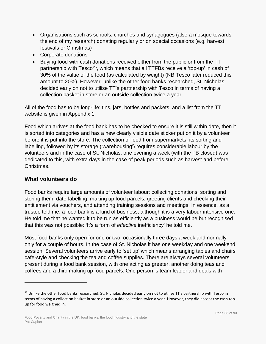- Organisations such as schools, churches and synagogues (also a mosque towards the end of my research) donating regularly or on special occasions (e.g. harvest festivals or Christmas)
- Corporate donations
- Buying food with cash donations received either from the public or from the TT partnership with Tesco<sup>25</sup>, which means that all TTFBs receive a 'top-up' in cash of 30% of the value of the food (as calculated by weight) (NB Tesco later reduced this amount to 20%). However, unlike the other food banks researched, St. Nicholas decided early on not to utilise TT's partnership with Tesco in terms of having a collection basket in store or an outside collection twice a year.

All of the food has to be long-life: tins, jars, bottles and packets, and a list from the TT website is given in Appendix 1.

Food which arrives at the food bank has to be checked to ensure it is still within date, then it is sorted into categories and has a new clearly visible date sticker put on it by a volunteer before it is put into the store. The collection of food from supermarkets, its sorting and labelling, followed by its storage ('warehousing') requires considerable labour by the volunteers and in the case of St. Nicholas, one evening a week (with the FB closed) was dedicated to this, with extra days in the case of peak periods such as harvest and before Christmas.

#### **What volunteers do**

 $\overline{a}$ 

Food banks require large amounts of volunteer labour: collecting donations, sorting and storing them, date-labelling, making up food parcels, greeting clients and checking their entitlement via vouchers, and attending training sessions and meetings. In essence, as a trustee told me, a food bank is a kind of business, although it is a very labour-intensive one. He told me that he wanted it to be run as efficiently as a business would be but recognised that this was not possible: 'It's a form of *effective* inefficiency' he told me.

Most food banks only open for one or two, occasionally three days a week and normally only for a couple of hours. In the case of St. Nicholas it has one weekday and one weekend session. Several volunteers arrive early to 'set up' which means arranging tables and chairs cafe-style and checking the tea and coffee supplies. There are always several volunteers present during a food bank session, with one acting as greeter, another doing teas and coffees and a third making up food parcels. One person is team leader and deals with

<span id="page-37-0"></span><sup>&</sup>lt;sup>25</sup> Unlike the other food banks researched, St. Nicholas decided early on not to utilise TT's partnership with Tesco in terms of having a collection basket in store or an outside collection twice a year. However, they did accept the cash topup for food weighed in.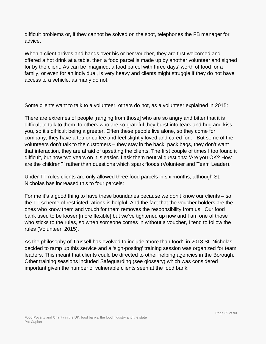difficult problems or, if they cannot be solved on the spot, telephones the FB manager for advice.

When a client arrives and hands over his or her voucher, they are first welcomed and offered a hot drink at a table, then a food parcel is made up by another volunteer and signed for by the client. As can be imagined, a food parcel with three days' worth of food for a family, or even for an individual, is very heavy and clients might struggle if they do not have access to a vehicle, as many do not.

Some clients want to talk to a volunteer, others do not, as a volunteer explained in 2015:

There are extremes of people [ranging from those] who are so angry and bitter that it is difficult to talk to them, to others who are so grateful they burst into tears and hug and kiss you, so it's difficult being a greeter. Often these people live alone, so they come for company, they have a tea or coffee and feel slightly loved and cared for... But some of the volunteers don't talk to the customers – they stay in the back, pack bags, they don't want that interaction, they are afraid of upsetting the clients. The first couple of times I too found it difficult, but now two years on it is easier. I ask them neutral questions: 'Are you OK? How are the children?' rather than questions which spark floods (Volunteer and Team Leader).

Under TT rules clients are only allowed three food parcels in six months, although St. Nicholas has increased this to four parcels:

For me it's a good thing to have these boundaries because we don't know our clients – so the TT scheme of restricted rations is helpful. And the fact that the voucher holders are the ones who know them and vouch for them removes the responsibility from us. Our food bank used to be looser [more flexible] but we've tightened up now and I am one of those who sticks to the rules, so when someone comes in without a voucher, I tend to follow the rules (Volunteer, 2015).

As the philosophy of Trussell has evolved to include 'more than food', in 2018 St. Nicholas decided to ramp up this service and a 'sign-posting' training session was organized for team leaders. This meant that clients could be directed to other helping agencies in the Borough. Other training sessions included Safeguarding (see glossary) which was considered important given the number of vulnerable clients seen at the food bank.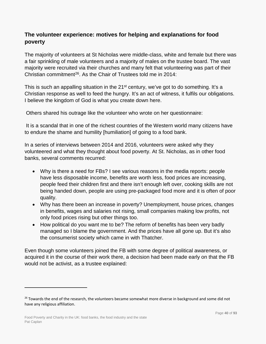## **The volunteer experience: motives for helping and explanations for food poverty**

The majority of volunteers at St Nicholas were middle-class, white and female but there was a fair sprinkling of male volunteers and a majority of males on the trustee board. The vast majority were recruited via their churches and many felt that volunteering was part of their Christian commitment[26](#page-39-0). As the Chair of Trustees told me in 2014:

This is such an appalling situation in the 21<sup>st</sup> century, we've got to do something. It's a Christian response as well to feed the hungry. It's an act of witness, it fulfils our obligations. I believe the kingdom of God is what you create down here.

Others shared his outrage like the volunteer who wrote on her questionnaire:

It is a scandal that in one of the richest countries of the Western world many citizens have to endure the shame and humility [humiliation] of going to a food bank.

In a series of interviews between 2014 and 2016, volunteers were asked why they volunteered and what they thought about food poverty. At St. Nicholas, as in other food banks, several comments recurred:

- Why is there a need for FBs? I see various reasons in the media reports: people have less disposable income, benefits are worth less, food prices are increasing, people feed their children first and there isn't enough left over, cooking skills are not being handed down, people are using pre-packaged food more and it is often of poor quality.
- Why has there been an increase in poverty? Unemployment, house prices, changes in benefits, wages and salaries not rising, small companies making low profits, not only food prices rising but other things too.
- How political do you want me to be? The reform of benefits has been very badly managed so I blame the government. And the prices have all gone up. But it's also the consumerist society which came in with Thatcher.

Even though some volunteers joined the FB with some degree of political awareness, or acquired it in the course of their work there, a decision had been made early on that the FB would not be activist, as a trustee explained:

<span id="page-39-0"></span><sup>&</sup>lt;sup>26</sup> Towards the end of the research, the volunteers became somewhat more diverse in background and some did not have any religious affiliation.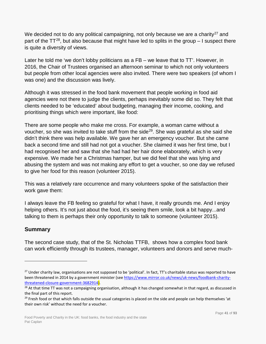We decided not to do any political campaigning, not only because we are a charity<sup>[27](#page-40-0)</sup> and part of the  $TT^{28}$  $TT^{28}$  $TT^{28}$ , but also because that might have led to splits in the group  $-1$  suspect there is quite a diversity of views.

Later he told me 'we don't lobby politicians as a FB – we leave that to TT'. However, in 2016, the Chair of Trustees organised an afternoon seminar to which not only volunteers but people from other local agencies were also invited. There were two speakers (of whom I was one) and the discussion was lively.

Although it was stressed in the food bank movement that people working in food aid agencies were not there to judge the clients, perhaps inevitably some did so. They felt that clients needed to be 'educated' about budgeting, managing their income, cooking, and prioritising things which were important, like food:

There are some people who make me cross. For example, a woman came without a voucher, so she was invited to take stuff from the side<sup>29</sup>. She was grateful as she said she didn't think there was help available. We gave her an emergency voucher. But she came back a second time and still had not got a voucher. She claimed it was her first time, but I had recognised her and saw that she had had her hair done elaborately, which is very expensive. We made her a Christmas hamper, but we did feel that she was lying and abusing the system and was not making any effort to get a voucher, so one day we refused to give her food for this reason (volunteer 2015).

This was a relatively rare occurrence and many volunteers spoke of the satisfaction their work gave them:

I always leave the FB feeling so grateful for what I have, it really grounds me. And I enjoy helping others. It's not just about the food, it's seeing them smile, look a bit happy...and talking to them is perhaps their only opportunity to talk to someone (volunteer 2015).

### **Summary**

 $\overline{a}$ 

The second case study, that of the St. Nicholas TTFB, shows how a complex food bank can work efficiently through its trustees, manager, volunteers and donors and serve much-

<span id="page-40-0"></span><sup>&</sup>lt;sup>27</sup> Under charity law, organisations are not supposed to be 'political'. In fact, TT's charitable status was reported to have been threatened in 2014 by a government minister (see [https://www.mirror.co.uk/news/uk-news/foodbank-charity](https://www.mirror.co.uk/news/uk-news/foodbank-charity-threatened-closure-government-3682914)[threatened-closure-government-3682914\)](https://www.mirror.co.uk/news/uk-news/foodbank-charity-threatened-closure-government-3682914).

<span id="page-40-1"></span> $28$  At that time TT was not a campaigning organisation, although it has changed somewhat in that regard, as discussed in the final part of this report.

<span id="page-40-2"></span> $29$  Fresh food or that which falls outside the usual categories is placed on the side and people can help themselves 'at their own risk' without the need for a voucher.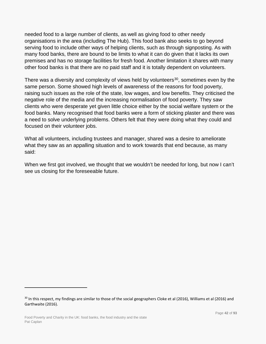needed food to a large number of clients, as well as giving food to other needy organisations in the area (including The Hub). This food bank also seeks to go beyond serving food to include other ways of helping clients, such as through signposting. As with many food banks, there are bound to be limits to what it can do given that it lacks its own premises and has no storage facilities for fresh food. Another limitation it shares with many other food banks is that there are no paid staff and it is totally dependent on volunteers.

There was a diversity and complexity of views held by volunteers<sup>[30](#page-41-0)</sup>, sometimes even by the same person. Some showed high levels of awareness of the reasons for food poverty, raising such issues as the role of the state, low wages, and low benefits. They criticised the negative role of the media and the increasing normalisation of food poverty. They saw clients who were desperate yet given little choice either by the social welfare system or the food banks. Many recognised that food banks were a form of sticking plaster and there was a need to solve underlying problems. Others felt that they were doing what they could and focused on their volunteer jobs.

What all volunteers, including trustees and manager, shared was a desire to ameliorate what they saw as an appalling situation and to work towards that end because, as many said:

When we first got involved, we thought that we wouldn't be needed for long, but now I can't see us closing for the foreseeable future.

<span id="page-41-0"></span><sup>&</sup>lt;sup>30</sup> In this respect, my findings are similar to those of the social geographers Cloke et al (2016), Williams et al (2016) and Garthwaite (2016).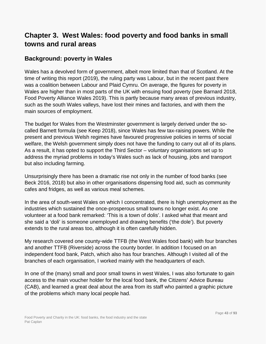# **Chapter 3. West Wales: food poverty and food banks in small towns and rural areas**

## **Background: poverty in Wales**

Wales has a devolved form of government, albeit more limited than that of Scotland. At the time of writing this report (2019), the ruling party was Labour, but in the recent past there was a coalition between Labour and Plaid Cymru. On average, the figures for poverty in Wales are higher than in most parts of the UK with ensuing food poverty (see Barnard 2018, Food Poverty Alliance Wales 2019). This is partly because many areas of previous industry, such as the south Wales valleys, have lost their mines and factories, and with them the main sources of employment.

The budget for Wales from the Westminster government is largely derived under the socalled Barnett formula (see Keep 2018), since Wales has few tax-raising powers. While the present and previous Welsh regimes have favoured progressive policies in terms of social welfare, the Welsh government simply does not have the funding to carry out all of its plans. As a result, it has opted to support the Third Sector – voluntary organisations set up to address the myriad problems in today's Wales such as lack of housing, jobs and transport but also including farming.

Unsurprisingly there has been a dramatic rise not only in the number of food banks (see Beck 2016, 2018) but also in other organisations dispensing food aid, such as community cafes and fridges, as well as various meal schemes.

In the area of south-west Wales on which I concentrated, there is high unemployment as the industries which sustained the once-prosperous small towns no longer exist. As one volunteer at a food bank remarked: 'This is a town of dolis'. I asked what that meant and she said a 'doli' is someone unemployed and drawing benefits ('the dole'). But poverty extends to the rural areas too, although it is often carefully hidden.

My research covered one county-wide TTFB (the West Wales food bank) with four branches and another TTFB (Riverside) across the county border. In addition I focused on an independent food bank, Patch, which also has four branches. Although I visited all of the branches of each organisation, I worked mainly with the headquarters of each.

In one of the (many) small and poor small towns in west Wales, I was also fortunate to gain access to the main voucher holder for the local food bank, the Citizens' Advice Bureau (CAB), and learned a great deal about the area from its staff who painted a graphic picture of the problems which many local people had.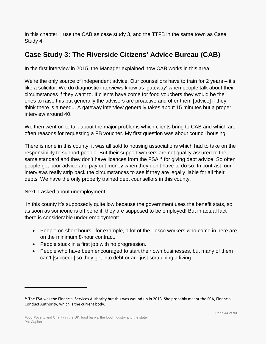In this chapter, I use the CAB as case study 3, and the TTFB in the same town as Case Study 4.

# **Case Study 3: The Riverside Citizens' Advice Bureau (CAB)**

In the first interview in 2015, the Manager explained how CAB works in this area:

We're the only source of independent advice. Our counsellors have to train for 2 years – it's like a solicitor. We do diagnostic interviews know as 'gateway' when people talk about their circumstances if they want to. If clients have come for food vouchers they would be the ones to raise this but generally the advisors are proactive and offer them [advice] if they think there is a need... A gateway interview generally takes about 15 minutes but a proper interview around 40.

We then went on to talk about the major problems which clients bring to CAB and which are often reasons for requesting a FB voucher. My first question was about council housing:

There is none in this county, it was all sold to housing associations which had to take on the responsibility to support people. But their support workers are not quality-assured to the same standard and they don't have licences from the  $FSA<sup>31</sup>$  $FSA<sup>31</sup>$  $FSA<sup>31</sup>$  for giving debt advice. So often people get poor advice and pay out money when they don't have to do so. In contrast, our interviews really strip back the circumstances to see if they are legally liable for all their debts. We have the only properly trained debt counsellors in this county.

Next, I asked about unemployment:

 $\overline{a}$ 

In this county it's supposedly quite low because the government uses the benefit stats, so as soon as someone is off benefit, they are supposed to be employed! But in actual fact there is considerable under-employment:

- People on short hours: for example, a lot of the Tesco workers who come in here are on the minimum 8-hour contract.
- People stuck in a first job with no progression.
- People who have been encouraged to start their own businesses, but many of them can't [succeed] so they get into debt or are just scratching a living.

<span id="page-43-0"></span><sup>&</sup>lt;sup>31</sup> The FSA was the Financial Services Authority but this was wound up in 2013. She probably meant the FCA, Financial Conduct Authority, which is the current body.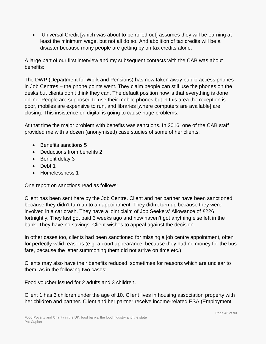• Universal Credit [which was about to be rolled out] assumes they will be earning at least the minimum wage, but not all do so. And abolition of tax credits will be a disaster because many people are getting by on tax credits alone.

A large part of our first interview and my subsequent contacts with the CAB was about benefits:

The DWP (Department for Work and Pensions) has now taken away public-access phones in Job Centres – the phone points went. They claim people can still use the phones on the desks but clients don't think they can. The default position now is that everything is done online. People are supposed to use their mobile phones but in this area the reception is poor, mobiles are expensive to run, and libraries [where computers are available] are closing. This insistence on digital is going to cause huge problems.

At that time the major problem with benefits was sanctions. In 2016, one of the CAB staff provided me with a dozen (anonymised) case studies of some of her clients:

- Benefits sanctions 5
- Deductions from benefits 2
- Benefit delay 3
- Debt 1
- Homelessness 1

One report on sanctions read as follows:

Client has been sent here by the Job Centre. Client and her partner have been sanctioned because they didn't turn up to an appointment. They didn't turn up because they were involved in a car crash. They have a joint claim of Job Seekers' Allowance of £226 fortnightly. They last got paid 3 weeks ago and now haven't got anything else left in the bank. They have no savings. Client wishes to appeal against the decision.

In other cases too, clients had been sanctioned for missing a job centre appointment, often for perfectly valid reasons (e.g. a court appearance, because they had no money for the bus fare, because the letter summoning them did not arrive on time etc.)

Clients may also have their benefits reduced, sometimes for reasons which are unclear to them, as in the following two cases:

Food voucher issued for 2 adults and 3 children.

Client 1 has 3 children under the age of 10. Client lives in housing association property with her children and partner. Client and her partner receive income-related ESA (Employment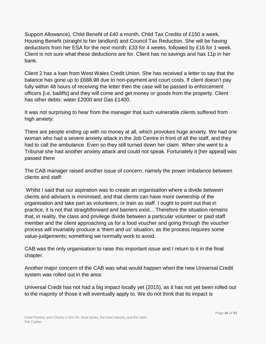Support Allowance), Child Benefit of £40 a month, Child Tax Credits of £150 a week, Housing Benefit (straight to her landlord) and Council Tax Reduction. She will be having deductions from her ESA for the next month: £33 for 4 weeks, followed by £16 for 1 week. Client is not sure what these deductions are for. Client has no savings and has 11p in her bank.

Client 2 has a loan from West Wales Credit Union. She has received a letter to say that the balance has gone up to £688.98 due to non-payment and court costs. If client doesn't pay fully within 48 hours of receiving the letter then the case will be passed to enforcement officers [i.e. bailiffs] and they will come and get money or goods from the property. Client has other debts: water £2000 and Gas £1400.

It was not surprising to hear from the manager that such vulnerable clients suffered from high anxiety:

There are people ending up with no money at all, which provokes huge anxiety. We had one woman who had a severe anxiety attack in the Job Centre in front of all the staff, and they had to call the ambulance. Even so they still turned down her claim. When she went to a Tribunal she had another anxiety attack and could not speak. Fortunately it [her appeal] was passed there

The CAB manager raised another issue of concern, namely the power imbalance between clients and staff:

Whilst I said that our aspiration was to create an organisation where a divide between clients and advisers is minimised, and that clients can have more ownership of the organisation and take part as volunteers, or train as staff. I ought to point out that in practice, it is not that straightforward and barriers exist... Therefore the situation remains that, in reality, the class and privilege divide between a particular volunteer or paid staff member and the client approaching us for a food voucher and going through the voucher process will invariably produce a 'them and us' situation, as the process requires some value-judgements; something we normally work to avoid.

CAB was the only organisation to raise this important issue and I return to it in the final chapter.

Another major concern of the CAB was what would happen when the new Universal Credit system was rolled out in the area:

Universal Credit has not had a big impact locally yet (2015), as it has not yet been rolled out to the majority of those it will eventually apply to. We do not think that its impact is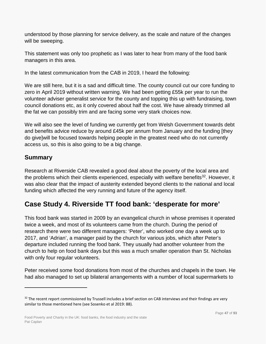understood by those planning for service delivery, as the scale and nature of the changes will be sweeping.

This statement was only too prophetic as I was later to hear from many of the food bank managers in this area.

In the latest communication from the CAB in 2019, I heard the following:

We are still here, but it is a sad and difficult time. The county council cut our core funding to zero in April 2019 without written warning. We had been getting £55k per year to run the volunteer adviser generalist service for the county and topping this up with fundraising, town council donations etc, as it only covered about half the cost. We have already trimmed all the fat we can possibly trim and are facing some very stark choices now.

We will also see the level of funding we currently get from Welsh Government towards debt and benefits advice reduce by around £45k per annum from January and the funding [they do give]will be focused towards helping people in the greatest need who do not currently access us, so this is also going to be a big change.

## **Summary**

 $\overline{a}$ 

Research at Riverside CAB revealed a good deal about the poverty of the local area and the problems which their clients experienced, especially with welfare benefits<sup>32</sup>. However, it was also clear that the impact of austerity extended beyond clients to the national and local funding which affected the very running and future of the agency itself.

# **Case Study 4. Riverside TT food bank: 'desperate for more'**

This food bank was started in 2009 by an evangelical church in whose premises it operated twice a week, and most of its volunteers came from the church. During the period of research there were two different managers: 'Peter', who worked one day a week up to 2017, and 'Adrian', a manager paid by the church for various jobs, which after Peter's departure included running the food bank. They usually had another volunteer from the church to help on food bank days but this was a much smaller operation than St. Nicholas with only four regular volunteers.

Peter received some food donations from most of the churches and chapels in the town. He had also managed to set up bilateral arrangements with a number of local supermarkets to

<span id="page-46-0"></span> $32$  The recent report commissioned by Trussell includes a brief section on CAB interviews and their findings are very similar to those mentioned here (see Sosenko et al 2019: 88).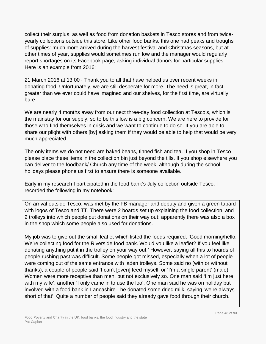collect their surplus, as well as food from donation baskets in Tesco stores and from twiceyearly collections outside this store. Like other food banks, this one had peaks and troughs of supplies: much more arrived during the harvest festival and Christmas seasons, but at other times of year, supplies would sometimes run low and the manager would regularly report shortages on its Facebook page, asking individual donors for particular supplies. Here is an example from 2016:

21 March 2016 at 13:00 · Thank you to all that have helped us over recent weeks in donating food. Unfortunately, we are still desperate for more. The need is great, in fact greater than we ever could have imagined and our shelves, for the first time, are virtually bare.

We are nearly 4 months away from our next three-day food collection at Tesco's, which is the mainstay for our supply, so to be this low is a big concern. We are here to provide for those who find themselves in crisis and we want to continue to do so. If you are able to share our plight with others [by] asking them if they would be able to help that would be very much appreciated

The only items we do not need are baked beans, tinned fish and tea. If you shop in Tesco please place these items in the collection bin just beyond the tills. If you shop elsewhere you can deliver to the foodbank/ Church any time of the week, although during the school holidays please phone us first to ensure there is someone available.

Early in my research I participated in the food bank's July collection outside Tesco. I recorded the following in my notebook:

On arrival outside Tesco, was met by the FB manager and deputy and given a green tabard with logos of Tesco and TT. There were 2 boards set up explaining the food collection, and 2 trolleys into which people put donations on their way out; apparently there was also a box in the shop which some people also used for donations.

My job was to give out the small leaflet which listed the foods required. 'Good morning/hello. We're collecting food for the Riverside food bank. Would you like a leaflet? If you feel like donating anything put it in the trolley on your way out.' However, saying all this to hoards of people rushing past was difficult. Some people got missed, especially when a lot of people were coming out of the same entrance with laden trolleys. Some said no (with or without thanks), a couple of people said 'I can't [even] feed myself' or 'I'm a single parent' (male). Women were more receptive than men, but not exclusively so. One man said 'I'm just here with my wife', another 'I only came in to use the loo'. One man said he was on holiday but involved with a food bank in Lancashire - he donated some dried milk, saying 'we're always short of that'. Quite a number of people said they already gave food through their church.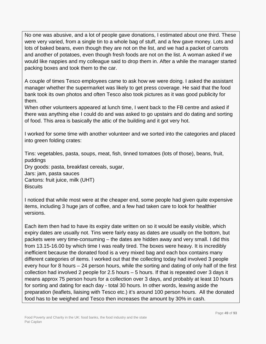No one was abusive, and a lot of people gave donations, I estimated about one third. These were very varied, from a single tin to a whole bag of stuff, and a few gave money. Lots and lots of baked beans, even though they are not on the list, and we had a packet of carrots and another of potatoes, even though fresh foods are not on the list. A woman asked if we would like nappies and my colleague said to drop them in. After a while the manager started packing boxes and took them to the car.

A couple of times Tesco employees came to ask how we were doing. I asked the assistant manager whether the supermarket was likely to get press coverage. He said that the food bank took its own photos and often Tesco also took pictures as it was good publicity for them.

When other volunteers appeared at lunch time, I went back to the FB centre and asked if there was anything else I could do and was asked to go upstairs and do dating and sorting of food. This area is basically the attic of the building and it got very hot.

I worked for some time with another volunteer and we sorted into the categories and placed into green folding crates:

Tins: vegetables, pasta, soups, meat, fish, tinned tomatoes (lots of those), beans, fruit, puddings Dry goods: pasta, breakfast cereals, sugar, Jars: jam, pasta sauces Cartons: fruit juice, milk (UHT) **Biscuits** 

I noticed that while most were at the cheaper end, some people had given quite expensive items, including 3 huge jars of coffee, and a few had taken care to look for healthier versions.

Each item then had to have its expiry date written on so it would be easily visible, which expiry dates are usually not. Tins were fairly easy as dates are usually on the bottom, but packets were very time-consuming – the dates are hidden away and very small. I did this from 13.15-16.00 by which time I was really tired. The boxes were heavy. It is incredibly inefficient because the donated food is a very mixed bag and each box contains many different categories of items. I worked out that the collecting today had involved 3 people every hour for 8 hours – 24 person hours, while the sorting and dating of only half of the first collection had involved 2 people for 2.5 hours – 5 hours. If that is repeated over 3 days it means approx 75 person hours for a collection over 3 days, and probably at least 10 hours for sorting and dating for each day - total 30 hours. In other words, leaving aside the preparation (leaflets, liaising with Tesco etc.) it's around 100 person hours. All the donated food has to be weighed and Tesco then increases the amount by 30% in cash.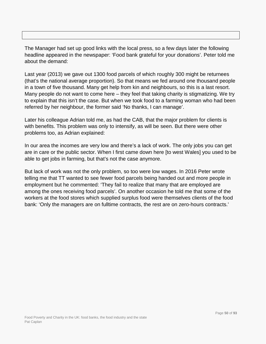The Manager had set up good links with the local press, so a few days later the following headline appeared in the newspaper: 'Food bank grateful for your donations'. Peter told me about the demand:

Last year (2013) we gave out 1300 food parcels of which roughly 300 might be returnees (that's the national average proportion). So that means we fed around one thousand people in a town of five thousand. Many get help from kin and neighbours, so this is a last resort. Many people do not want to come here – they feel that taking charity is stigmatizing. We try to explain that this isn't the case. But when we took food to a farming woman who had been referred by her neighbour, the former said 'No thanks, I can manage'.

Later his colleague Adrian told me, as had the CAB, that the major problem for clients is with benefits. This problem was only to intensify, as will be seen. But there were other problems too, as Adrian explained:

In our area the incomes are very low and there's a lack of work. The only jobs you can get are in care or the public sector. When I first came down here [to west Wales] you used to be able to get jobs in farming, but that's not the case anymore.

But lack of work was not the only problem, so too were low wages. In 2016 Peter wrote telling me that TT wanted to see fewer food parcels being handed out and more people in employment but he commented: 'They fail to realize that many that are employed are among the ones receiving food parcels'. On another occasion he told me that some of the workers at the food stores which supplied surplus food were themselves clients of the food bank: 'Only the managers are on fulltime contracts, the rest are on zero-hours contracts.'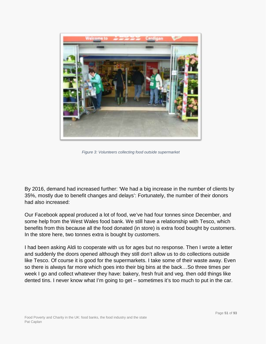

*Figure 3: Volunteers collecting food outside supermarket*

By 2016, demand had increased further: 'We had a big increase in the number of clients by 35%, mostly due to benefit changes and delays': Fortunately, the number of their donors had also increased:

Our Facebook appeal produced a lot of food, we've had four tonnes since December, and some help from the West Wales food bank. We still have a relationship with Tesco, which benefits from this because all the food donated (in store) is extra food bought by customers. In the store here, two tonnes extra is bought by customers.

I had been asking Aldi to cooperate with us for ages but no response. Then I wrote a letter and suddenly the doors opened although they still don't allow us to do collections outside like Tesco. Of course it is good for the supermarkets. I take some of their waste away. Even so there is always far more which goes into their big bins at the back…So three times per week I go and collect whatever they have: bakery, fresh fruit and veg. then odd things like dented tins. I never know what I'm going to get – sometimes it's too much to put in the car.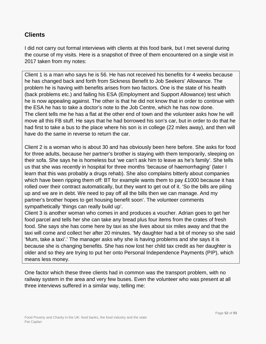## **Clients**

I did not carry out formal interviews with clients at this food bank, but I met several during the course of my visits. Here is a snapshot of three of them encountered on a single visit in 2017 taken from my notes:

Client 1 is a man who says he is 56. He has not received his benefits for 4 weeks because he has changed back and forth from Sickness Benefit to Job Seekers' Allowance. The problem he is having with benefits arises from two factors. One is the state of his health (back problems etc.) and failing his ESA (Employment and Support Allowance) test which he is now appealing against. The other is that he did not know that in order to continue with the ESA he has to take a doctor's note to the Job Centre, which he has now done. The client tells me he has a flat at the other end of town and the volunteer asks how he will move all this FB stuff. He says that he had borrowed his son's car, but in order to do that he had first to take a bus to the place where his son is in college (22 miles away), and then will have do the same in reverse to return the car.

Client 2 is a woman who is about 30 and has obviously been here before. She asks for food for three adults, because her partner's brother is staying with them temporarily, sleeping on their sofa. She says he is homeless but 'we can't ask him to leave as he's family'. She tells us that she was recently in hospital for three months 'because of haemorrhaging' (later I learn that this was probably a drugs rehab). She also complains bitterly about companies which have been ripping them off: BT for example wants them to pay £1000 because it has rolled over their contract automatically, but they want to get out of it. 'So the bills are piling up and we are in debt. We need to pay off all the bills then we can manage. And my partner's brother hopes to get housing benefit soon'. The volunteer comments sympathetically 'things can really build up'.

Client 3 is another woman who comes in and produces a voucher. Adrian goes to get her food parcel and tells her she can take any bread plus four items from the crates of fresh food. She says she has come here by taxi as she lives about six miles away and that the taxi will come and collect her after 20 minutes. 'My daughter had a bit of money so she said 'Mum, take a taxi'.' The manager asks why she is having problems and she says it is because she is changing benefits. She has now lost her child tax credit as her daughter is older and so they are trying to put her onto Personal Independence Payments (PIP), which means less money.

One factor which these three clients had in common was the transport problem, with no railway system in the area and very few buses. Even the volunteer who was present at all three interviews suffered in a similar way, telling me: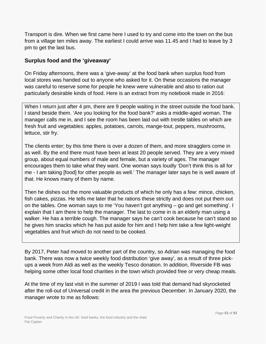Transport is dire. When we first came here I used to try and come into the town on the bus from a village ten miles away. The earliest I could arrive was 11.45 and I had to leave by 3 pm to get the last bus.

### **Surplus food and the 'giveaway'**

On Friday afternoons, there was a 'give-away' at the food bank when surplus food from local stores was handed out to anyone who asked for it. On these occasions the manager was careful to reserve some for people he knew were vulnerable and also to ration out particularly desirable kinds of food. Here is an extract from my notebook made in 2016:

When I return just after 4 pm, there are 9 people waiting in the street outside the food bank. I stand beside them. 'Are you looking for the food bank?' asks a middle-aged woman. The manager calls me in, and I see the room has been laid out with trestle tables on which are fresh fruit and vegetables: apples, potatoes, carrots, mange-tout, peppers, mushrooms, lettuce, stir fry.

The clients enter; by this time there is over a dozen of them, and more stragglers come in as well. By the end there must have been at least 20 people served. They are a very mixed group, about equal numbers of male and female, but a variety of ages. The manager encourages them to take what they want. One woman says loudly 'Don't think this is all for me - I am taking [food] for other people as well.' The manager later says he is well aware of that. He knows many of them by name.

Then he dishes out the more valuable products of which he only has a few: mince, chicken, fish cakes, pizzas. He tells me later that he rations these strictly and does not put them out on the tables. One woman says to me 'You haven't got anything – go and get something'. I explain that I am there to help the manager. The last to come in is an elderly man using a walker. He has a terrible cough. The manager says he can't cook because he can't stand so he gives him snacks which he has put aside for him and I help him take a few light-weight vegetables and fruit which do not need to be cooked.

By 2017, Peter had moved to another part of the country, so Adrian was managing the food bank. There was now a twice weekly food distribution 'give away', as a result of three pickups a week from Aldi as well as the weekly Tesco donation. In addition, Riverside FB was helping some other local food charities in the town which provided free or very cheap meals.

At the time of my last visit in the summer of 2019 I was told that demand had skyrocketed after the roll-out of Universal credit in the area the previous December. In January 2020, the manager wrote to me as follows: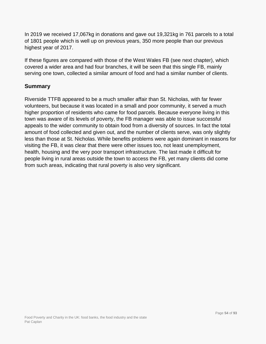In 2019 we received 17,067kg in donations and gave out 19,321kg in 761 parcels to a total of 1801 people which is well up on previous years, 350 more people than our previous highest year of 2017.

If these figures are compared with those of the West Wales FB (see next chapter), which covered a wider area and had four branches, it will be seen that this single FB, mainly serving one town, collected a similar amount of food and had a similar number of clients.

#### **Summary**

Riverside TTFB appeared to be a much smaller affair than St. Nicholas, with far fewer volunteers, but because it was located in a small and poor community, it served a much higher proportion of residents who came for food parcels. Because everyone living in this town was aware of its levels of poverty, the FB manager was able to issue successful appeals to the wider community to obtain food from a diversity of sources. In fact the total amount of food collected and given out, and the number of clients serve, was only slightly less than those at St. Nicholas. While benefits problems were again dominant in reasons for visiting the FB, it was clear that there were other issues too, not least unemployment, health, housing and the very poor transport infrastructure. The last made it difficult for people living in rural areas outside the town to access the FB, yet many clients did come from such areas, indicating that rural poverty is also very significant.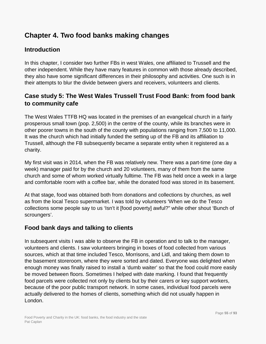# **Chapter 4. Two food banks making changes**

## **Introduction**

In this chapter, I consider two further FBs in west Wales, one affiliated to Trussell and the other independent. While they have many features in common with those already described, they also have some significant differences in their philosophy and activities. One such is in their attempts to blur the divide between givers and receivers, volunteers and clients.

## **Case study 5: The West Wales Trussell Trust Food Bank: from food bank to community cafe**

The West Wales TTFB HQ was located in the premises of an evangelical church in a fairly prosperous small town (pop. 2,500) in the centre of the county, while its branches were in other poorer towns in the south of the county with populations ranging from 7,500 to 11,000. It was the church which had initially funded the setting up of the FB and its affiliation to Trussell, although the FB subsequently became a separate entity when it registered as a charity.

My first visit was in 2014, when the FB was relatively new. There was a part-time (one day a week) manager paid for by the church and 20 volunteers, many of them from the same church and some of whom worked virtually fulltime. The FB was held once a week in a large and comfortable room with a coffee bar, while the donated food was stored in its basement.

At that stage, food was obtained both from donations and collections by churches, as well as from the local Tesco supermarket. I was told by volunteers 'When we do the Tesco collections some people say to us 'Isn't it [food poverty] awful?" while other shout 'Bunch of scroungers'.

## **Food bank days and talking to clients**

In subsequent visits I was able to observe the FB in operation and to talk to the manager, volunteers and clients. I saw volunteers bringing in boxes of food collected from various sources, which at that time included Tesco, Morrisons, and Lidl, and taking them down to the basement storeroom, where they were sorted and dated. Everyone was delighted when enough money was finally raised to install a 'dumb waiter' so that the food could more easily be moved between floors. Sometimes I helped with date marking. I found that frequently food parcels were collected not only by clients but by their carers or key support workers, because of the poor public transport network. In some cases, individual food parcels were actually delivered to the homes of clients, something which did not usually happen in London.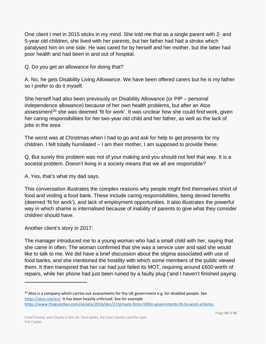One client I met in 2015 sticks in my mind. She told me that as a single parent with 2- and 5-year old children, she lived with her parents, but her father had had a stroke which paralysed him on one side. He was cared for by herself and her mother, but the latter had poor health and had been in and out of hospital.

Q. Do you get an allowance for doing that?

A. No, he gets Disability Living Allowance. We have been offered carers but he is my father so I prefer to do it myself*.* 

She herself had also been previously on Disability Allowance (or PIP – personal independence allowance) because of her own health problems, but after an Atos assessment<sup>[33](#page-55-0)</sup> she was deemed 'fit for work'. It was unclear how she could find work, given her caring responsibilities for her two-year old child and her father, as well as the lack of jobs in the area.

The worst was at Christmas when I had to go and ask for help to get presents for my children. I felt totally humiliated – I am their mother, I am supposed to provide these.

Q. But surely this problem was not of your making and you should not feel that way. It is a societal problem. Doesn't living in a society means that we all are responsible?

A. Yes, that's what my dad says.

This conversation illustrates the complex reasons why people might find themselves short of food and visiting a food bank. These include caring responsibilities, being denied benefits (deemed 'fit for work'), and lack of employment opportunities. It also illustrates the powerful way in which shame is internalised because of inability of parents to give what they consider children should have.

Another client's story in 2017:

 $\overline{a}$ 

The manager introduced me to a young woman who had a small child with her, saying that she came in often. The woman confirmed that she was a service user and said she would like to talk to me. We did have a brief discussion about the stigma associated with use of food banks, and she mentioned the hostility with which some members of the public viewed them. It then transpired that her car had just failed its MOT, requiring around £600 worth of repairs, while her phone had just been ruined by a faulty plug ('and I haven't finished paying

<span id="page-55-0"></span> $33$  Atos is a company which carries out assessments for the UK government e.g. for disabled people. See [https://atos.net/en/.](https://atos.net/en/) It has been heavily criticised. See for example [https://www.theguardian.com/society/2016/dec/27/private-firms-500m-governments-fit-to-work-scheme.](https://www.theguardian.com/society/2016/dec/27/private-firms-500m-governments-fit-to-work-scheme)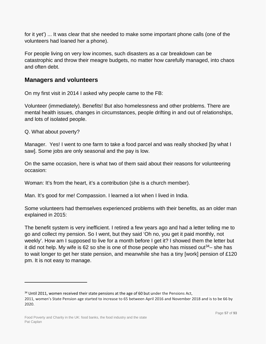for it yet') ... It was clear that she needed to make some important phone calls (one of the volunteers had loaned her a phone).

For people living on very low incomes, such disasters as a car breakdown can be catastrophic and throw their meagre budgets, no matter how carefully managed, into chaos and often debt.

### **Managers and volunteers**

On my first visit in 2014 I asked why people came to the FB:

Volunteer (immediately). Benefits! But also homelessness and other problems. There are mental health issues, changes in circumstances, people drifting in and out of relationships, and lots of isolated people.

```
Q. What about poverty?
```
 $\overline{a}$ 

Manager. Yes! I went to one farm to take a food parcel and was really shocked [by what I saw]. Some jobs are only seasonal and the pay is low.

On the same occasion, here is what two of them said about their reasons for volunteering occasion:

Woman: It's from the heart, it's a contribution (she is a church member).

Man. It's good for me! Compassion. I learned a lot when I lived in India.

Some volunteers had themselves experienced problems with their benefits, as an older man explained in 2015:

The benefit system is very inefficient. I retired a few years ago and had a letter telling me to go and collect my pension. So I went, but they said 'Oh no, you get it paid monthly, not weekly'. How am I supposed to live for a month before I get it? I showed them the letter but it did not help. My wife is 62 so she is one of those people who has missed out<sup>34</sup>– she has to wait longer to get her state pension, and meanwhile she has a tiny [work] pension of £120 pm. It is not easy to manage.

<span id="page-56-0"></span> $34$  Until 2011, women received their state pensions at the age of 60 but under the Pensions Act, 2011, women's State Pension age started to increase to 65 between April 2016 and November 2018 and is to be 66 by 2020.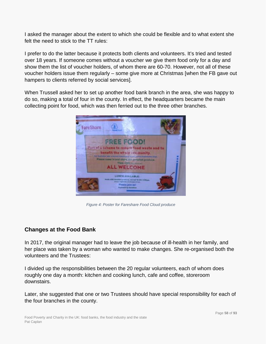I asked the manager about the extent to which she could be flexible and to what extent she felt the need to stick to the TT rules:

I prefer to do the latter because it protects both clients and volunteers. It's tried and tested over 18 years. If someone comes without a voucher we give them food only for a day and show them the list of voucher holders, of whom there are 60-70. However, not all of these voucher holders issue them regularly – some give more at Christmas [when the FB gave out hampers to clients referred by social services].

When Trussell asked her to set up another food bank branch in the area, she was happy to do so, making a total of four in the county. In effect, the headquarters became the main collecting point for food, which was then ferried out to the three other branches.



*Figure 4: Poster for Fareshare Food Cloud produce*

### **Changes at the Food Bank**

In 2017, the original manager had to leave the job because of ill-health in her family, and her place was taken by a woman who wanted to make changes. She re-organised both the volunteers and the Trustees:

I divided up the responsibilities between the 20 regular volunteers, each of whom does roughly one day a month: kitchen and cooking lunch, cafe and coffee, storeroom downstairs.

Later, she suggested that one or two Trustees should have special responsibility for each of the four branches in the county.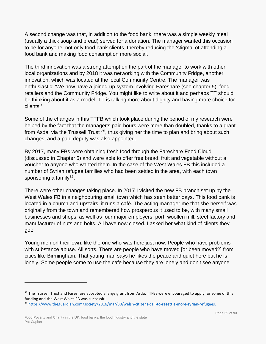A second change was that, in addition to the food bank, there was a simple weekly meal (usually a thick soup and bread) served for a donation. The manager wanted this occasion to be for anyone, not only food bank clients, thereby reducing the 'stigma' of attending a food bank and making food consumption more social.

The third innovation was a strong attempt on the part of the manager to work with other local organizations and by 2018 it was networking with the Community Fridge, another innovation, which was located at the local Community Centre. The manager was enthusiastic: 'We now have a joined-up system involving Fareshare (see chapter 5), food retailers and the Community Fridge. You might like to write about it and perhaps TT should be thinking about it as a model. TT is talking more about dignity and having more choice for clients.'

Some of the changes in this TTFB which took place during the period of my research were helped by the fact that the manager's paid hours were more than doubled, thanks to a grant from Asda via the Trussell Trust  $35$ , thus giving her the time to plan and bring about such changes, and a paid deputy was also appointed.

By 2017, many FBs were obtaining fresh food through the Fareshare Food Cloud (discussed in Chapter 5) and were able to offer free bread, fruit and vegetable without a voucher to anyone who wanted them. In the case of the West Wales FB this included a number of Syrian refugee families who had been settled in the area, with each town sponsoring a family $36$ .

There were other changes taking place. In 2017 I visited the new FB branch set up by the West Wales FB in a neighbouring small town which has seen better days. This food bank is located in a church and upstairs, it runs a café. The acting manager me that she herself was originally from the town and remembered how prosperous it used to be, with many small businesses and shops, as well as four major employers: port, woollen mill, steel factory and manufacturer of nuts and bolts. All have now closed. I asked her what kind of clients they got:

Young men on their own, like the one who was here just now. People who have problems with substance abuse. All sorts. There are people who have moved [or been moved?] from cities like Birmingham. That young man says he likes the peace and quiet here but he is lonely. Some people come to use the cafe because they are lonely and don't see anyone

<span id="page-58-0"></span><sup>&</sup>lt;sup>35</sup> The Trussell Trust and Fareshare accepted a large grant from Asda. TTFBs were encouraged to apply for some of this funding and the West Wales FB was successful.

<span id="page-58-1"></span><sup>36</sup> [https://www.theguardian.com/society/2016/mar/30/welsh-citizens-call-to-resettle-more-syrian-refugees.](https://www.theguardian.com/society/2016/mar/30/welsh-citizens-call-to-resettle-more-syrian-refugees)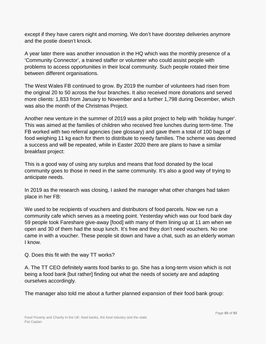except if they have carers night and morning. We don't have doorstep deliveries anymore and the postie doesn't knock.

A year later there was another innovation in the HQ which was the monthly presence of a 'Community Connector', a trained staffer or volunteer who could assist people with problems to access opportunities in their local community. Such people rotated their time between different organisations.

The West Wales FB continued to grow. By 2019 the number of volunteers had risen from the original 20 to 50 across the four branches. It also received more donations and served more clients: 1,833 from January to November and a further 1,798 during December, which was also the month of the Christmas Project.

Another new venture in the summer of 2019 was a pilot project to help with 'holiday hunger'. This was aimed at the families of children who received free lunches during term-time. The FB worked with two referral agencies (see glossary) and gave them a total of 100 bags of food weighing 11 kg each for them to distribute to needy families. The scheme was deemed a success and will be repeated, while in Easter 2020 there are plans to have a similar breakfast project:

This is a good way of using any surplus and means that food donated by the local community goes to those in need in the same community. It's also a good way of trying to anticipate needs.

In 2019 as the research was closing, I asked the manager what other changes had taken place in her FB:

We used to be recipients of vouchers and distributors of food parcels. Now we run a community cafe which serves as a meeting point. Yesterday which was our food bank day 59 people took Fareshare give-away [food] with many of them lining up at 11 am when we open and 30 of them had the soup lunch. It's free and they don't need vouchers. No one came in with a voucher. These people sit down and have a chat, such as an elderly woman I know.

#### Q. Does this fit with the way TT works?

A. The TT CEO definitely wants food banks to go. She has a long-term vision which is not being a food bank [but rather] finding out what the needs of society are and adapting ourselves accordingly.

The manager also told me about a further planned expansion of their food bank group: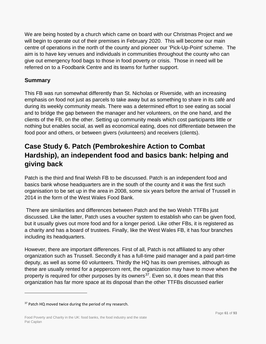We are being hosted by a church which came on board with our Christmas Project and we will begin to operate out of their premises in February 2020. This will become our main centre of operations in the north of the county and pioneer our 'Pick-Up-Point' scheme. The aim is to have key venues and individuals in communities throughout the county who can give out emergency food bags to those in food poverty or crisis. Those in need will be referred on to a Foodbank Centre and its teams for further support.

### **Summary**

This FB was run somewhat differently than St. Nicholas or Riverside, with an increasing emphasis on food not just as parcels to take away but as something to share in its café and during its weekly community meals. There was a determined effort to see eating as social and to bridge the gap between the manager and her volunteers, on the one hand, and the clients of the FB, on the other. Setting up community meals which cost participants little or nothing but enables social, as well as economical eating, does not differentiate between the food poor and others, or between givers (volunteers) and receivers (clients).

# **Case Study 6. Patch (Pembrokeshire Action to Combat Hardship), an independent food and basics bank: helping and giving back**

Patch is the third and final Welsh FB to be discussed. Patch is an independent food and basics bank whose headquarters are in the south of the county and it was the first such organisation to be set up in the area in 2008, some six years before the arrival of Trussell in 2014 in the form of the West Wales Food Bank.

There are similarities and differences between Patch and the two Welsh TTFBs just discussed. Like the latter, Patch uses a voucher system to establish who can be given food, but it usually gives out more food and for a longer period. Like other FBs, it is registered as a charity and has a board of trustees. Finally, like the West Wales FB, it has four branches including its headquarters.

However, there are important differences. First of all, Patch is not affiliated to any other organization such as Trussell. Secondly it has a full-time paid manager and a paid part-time deputy, as well as some 60 volunteers. Thirdly the HQ has its own premises, although as these are usually rented for a peppercorn rent, the organization may have to move when the property is required for other purposes by its owners<sup>37</sup>. Even so, it does mean that this organization has far more space at its disposal than the other TTFBs discussed earlier

<span id="page-60-0"></span><sup>&</sup>lt;sup>37</sup> Patch HQ moved twice during the period of my research.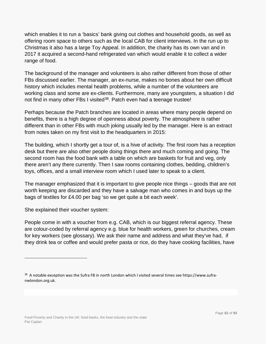which enables it to run a 'basics' bank giving out clothes and household goods, as well as offering room space to others such as the local CAB for client interviews. In the run up to Christmas it also has a large Toy Appeal. In addition, the charity has its own van and in 2017 it acquired a second-hand refrigerated van which would enable it to collect a wider range of food.

The background of the manager and volunteers is also rather different from those of other FBs discussed earlier. The manager, an ex-nurse, makes no bones about her own difficult history which includes mental health problems, while a number of the volunteers are working class and some are ex-clients. Furthermore, many are youngsters, a situation I did not find in many other FBs I visited<sup>[38](#page-61-0)</sup>. Patch even had a teenage trustee!

Perhaps because the Patch branches are located in areas where many people depend on benefits, there is a high degree of openness about poverty. The atmosphere is rather different than in other FBs with much joking usually led by the manager. Here is an extract from notes taken on my first visit to the headquarters in 2015:

The building, which I shortly get a tour of, is a hive of activity. The first room has a reception desk but there are also other people doing things there and much coming and going. The second room has the food bank with a table on which are baskets for fruit and veg, only there aren't any there currently. Then I saw rooms containing clothes, bedding, children's toys, offices, and a small interview room which I used later to speak to a client.

The manager emphasized that it is important to give people nice things – goods that are not worth keeping are discarded and they have a salvage man who comes in and buys up the bags of textiles for £4.00 per bag 'so we get quite a bit each week'.

She explained their voucher system:

 $\overline{a}$ 

People come in with a voucher from e.g. CAB, which is our biggest referral agency. These are colour-coded by referral agency e.g. blue for health workers, green for churches, cream for key workers (see glossary). We ask their name and address and what they've had, if they drink tea or coffee and would prefer pasta or rice, do they have cooking facilities, have

<span id="page-61-0"></span><sup>&</sup>lt;sup>38</sup> A notable exception was the Sufra FB in north London which I visited several times see https://www.sufranwlondon.org.uk.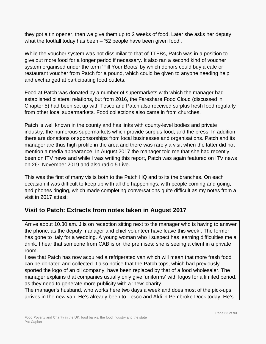they got a tin opener, then we give them up to 2 weeks of food. Later she asks her deputy what the footfall today has been – '52 people have been given food'.

While the voucher system was not dissimilar to that of TTFBs, Patch was in a position to give out more food for a longer period if necessary. It also ran a second kind of voucher system organised under the term 'Fill Your Boots' by which donors could buy a cafe or restaurant voucher from Patch for a pound, which could be given to anyone needing help and exchanged at participating food outlets.

Food at Patch was donated by a number of supermarkets with which the manager had established bilateral relations, but from 2016, the Fareshare Food Cloud (discussed in Chapter 5) had been set up with Tesco and Patch also received surplus fresh food regularly from other local supermarkets. Food collections also came in from churches.

Patch is well known in the county and has links with county-level bodies and private industry, the numerous supermarkets which provide surplus food, and the press. In addition there are donations or sponsorships from local businesses and organisations. Patch and its manager are thus high profile in the area and there was rarely a visit when the latter did not mention a media appearance. In August 2017 the manager told me that she had recently been on ITV news and while I was writing this report, Patch was again featured on ITV news on 26th November 2019 and also radio 5 Live.

This was the first of many visits both to the Patch HQ and to its the branches. On each occasion it was difficult to keep up with all the happenings, with people coming and going, and phones ringing, which made completing conversations quite difficult as my notes from a visit in 2017 attest:

## **Visit to Patch: Extracts from notes taken in August 2017**

Arrive about 10.30 am. J is on reception sitting next to the manager who is having to answer the phone, as the deputy manager and chief volunteer have leave this week . The former has gone to Italy for a wedding. A young woman who I suspect has learning difficulties me a drink. I hear that someone from CAB is on the premises: she is seeing a client in a private room.

I see that Patch has now acquired a refrigerated van which will mean that more fresh food can be donated and collected. I also notice that the Patch tops, which had previously sported the logo of an oil company, have been replaced by that of a food wholesaler. The manager explains that companies usually only give 'uniforms' with logos for a limited period, as they need to generate more publicity with a 'new' charity.

The manager's husband, who works here two days a week and does most of the pick-ups, arrives in the new van. He's already been to Tesco and Aldi in Pembroke Dock today. He's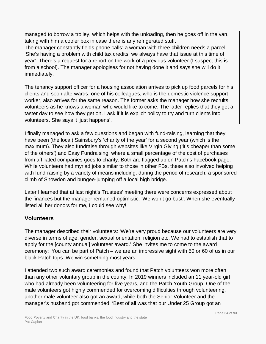managed to borrow a trolley, which helps with the unloading, then he goes off in the van, taking with him a cooler box in case there is any refrigerated stuff.

The manager constantly fields phone calls: a woman with three children needs a parcel: 'She's having a problem with child tax credits, we always have that issue at this time of year'. There's a request for a report on the work of a previous volunteer (I suspect this is from a school). The manager apologises for not having done it and says she will do it immediately.

The tenancy support officer for a housing association arrives to pick up food parcels for his clients and soon afterwards, one of his colleagues, who is the domestic violence support worker, also arrives for the same reason. The former asks the manager how she recruits volunteers as he knows a woman who would like to come. The latter replies that they get a taster day to see how they get on. I ask if it is explicit policy to try and turn clients into volunteers. She says it 'just happens'.

I finally managed to ask a few questions and began with fund-raising, learning that they have been (the local) Sainsbury's 'charity of the year' for a second year (which is the maximum). They also fundraise through websites like Virgin Giving ('it's cheaper than some of the others') and Easy Fundraising, where a small percentage of the cost of purchases from affiliated companies goes to charity. Both are flagged up on Patch's Facebook page. While volunteers had myriad jobs similar to those in other FBs, these also involved helping with fund-raising by a variety of means including, during the period of research, a sponsored climb of Snowdon and bungee-jumping off a local high bridge.

Later I learned that at last night's Trustees' meeting there were concerns expressed about the finances but the manager remained optimistic: 'We won't go bust'. When she eventually listed all her donors for me, I could see why!

### **Volunteers**

The manager described their volunteers: 'We're very proud because our volunteers are very diverse in terms of age, gender, sexual orientation, religion etc. We had to establish that to apply for the [county annual] volunteer award.' She invites me to come to the award ceremony: 'You can be part of Patch – we are an impressive sight with 50 or 60 of us in our black Patch tops. We win something most years'.

I attended two such award ceremonies and found that Patch volunteers won more often than any other voluntary group in the county. In 2019 winners included an 11 year-old girl who had already been volunteering for five years, and the Patch Youth Group. One of the male volunteers got highly commended for overcoming difficulties through volunteering, another male volunteer also got an award, while both the Senior Volunteer and the manager's husband got commended. 'Best of all was that our Under 25 Group got an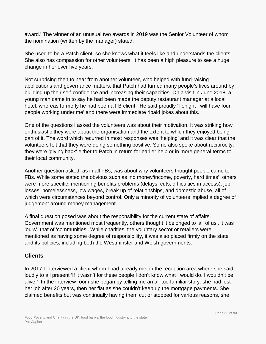award.' The winner of an unusual two awards in 2019 was the Senior Volunteer of whom the nomination (written by the manager) stated:

She used to be a Patch client, so she knows what it feels like and understands the clients. She also has compassion for other volunteers. It has been a high pleasure to see a huge change in her over five years.

Not surprising then to hear from another volunteer, who helped with fund-raising applications and governance matters, that Patch had turned many people's lives around by building up their self-confidence and increasing their capacities. On a visit in June 2018, a young man came in to say he had been made the deputy restaurant manager at a local hotel, whereas formerly he had been a FB client. He said proudly 'Tonight I will have four people working under me' and there were immediate ribald jokes about this.

One of the questions I asked the volunteers was about their motivation. It was striking how enthusiastic they were about the organisation and the extent to which they enjoyed being part of it. The word which recurred in most responses was 'helping' and it was clear that the volunteers felt that they were doing something positive. Some also spoke about reciprocity: they were 'giving back' either to Patch in return for earlier help or in more general terms to their local community.

Another question asked, as in all FBs, was about why volunteers thought people came to FBs. While some stated the obvious such as 'no money/income, poverty, hard times', others were more specific, mentioning benefits problems (delays, cuts, difficulties in access), job losses, homelessness, low wages, break up of relationships, and domestic abuse, all of which were circumstances beyond control. Only a minority of volunteers implied a degree of judgement around money management.

A final question posed was about the responsibility for the current state of affairs. Government was mentioned most frequently, others thought it belonged to 'all of us', it was 'ours', that of 'communities'. While charities, the voluntary sector or retailers were mentioned as having some degree of responsibility, it was also placed firmly on the state and its policies, including both the Westminster and Welsh governments.

### **Clients**

In 2017 I interviewed a client whom I had already met in the reception area where she said loudly to all present 'If it wasn't for these people I don't know what I would do. I wouldn't be alive!' In the interview room she began by telling me an all-too familiar story: she had lost her job after 20 years, then her flat as she couldn't keep up the mortgage payments. She claimed benefits but was continually having them cut or stopped for various reasons, she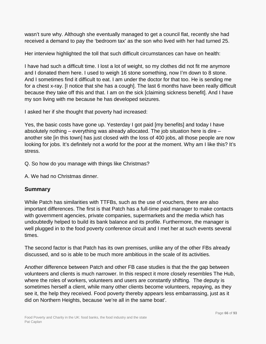wasn't sure why. Although she eventually managed to get a council flat, recently she had received a demand to pay the 'bedroom tax' as the son who lived with her had turned 25.

Her interview highlighted the toll that such difficult circumstances can have on health:

I have had such a difficult time. I lost a lot of weight, so my clothes did not fit me anymore and I donated them here. I used to weigh 16 stone something, now I'm down to 8 stone. And I sometimes find it difficult to eat. I am under the doctor for that too. He is sending me for a chest x-ray. [I notice that she has a cough]. The last 6 months have been really difficult because they take off this and that. I am on the sick [claiming sickness benefit]. And I have my son living with me because he has developed seizures.

I asked her if she thought that poverty had increased:

Yes, the basic costs have gone up. Yesterday I got paid [my benefits] and today I have absolutely nothing – everything was already allocated. The job situation here is dire – another site [in this town] has just closed with the loss of 400 jobs, all those people are now looking for jobs. It's definitely not a world for the poor at the moment. Why am I like this? It's stress.

Q. So how do you manage with things like Christmas?

A. We had no Christmas dinner.

#### **Summary**

While Patch has similarities with TTFBs, such as the use of vouchers, there are also important differences. The first is that Patch has a full-time paid manager to make contacts with government agencies, private companies, supermarkets and the media which has undoubtedly helped to build its bank balance and its profile. Furthermore, the manager is well plugged in to the food poverty conference circuit and I met her at such events several times.

The second factor is that Patch has its own premises, unlike any of the other FBs already discussed, and so is able to be much more ambitious in the scale of its activities.

Another difference between Patch and other FB case studies is that the the gap between volunteers and clients is much narrower. In this respect it more closely resembles The Hub, where the roles of workers, volunteers and users are constantly shifting. The deputy is sometimes herself a client, while many other clients become volunteers, repaying, as they see it, the help they received. Food poverty thereby appears less embarrassing, just as it did on Northern Heights, because 'we're all in the same boat'.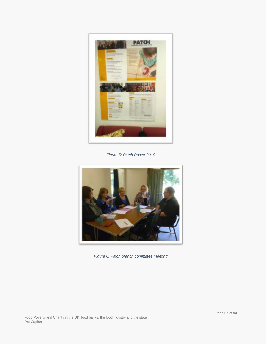

*Figure 5: Patch Poster 2018*



*Figure 6: Patch branch committee meeting*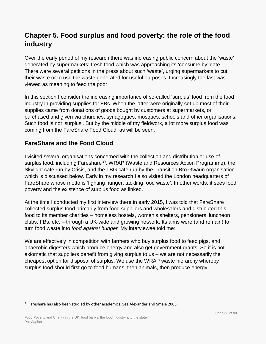# **Chapter 5. Food surplus and food poverty: the role of the food industry**

Over the early period of my research there was increasing public concern about the 'waste' generated by supermarkets: fresh food which was approaching its 'consume by' date. There were several petitions in the press about such 'waste', urging supermarkets to cut their waste or to use the waste generated for useful purposes. Increasingly the last was viewed as meaning to feed the poor.

In this section I consider the increasing importance of so-called 'surplus' food from the food industry in providing supplies for FBs. When the latter were originally set up most of their supplies came from donations of goods bought by customers at supermarkets, or purchased and given via churches, synagogues, mosques, schools and other organisations. Such food is not 'surplus'. But by the middle of my fieldwork, a lot more surplus food was coming from the FareShare Food Cloud, as will be seen.

## **FareShare and the Food Cloud**

I visited several organisations concerned with the collection and distribution or use of surplus food, including Fareshare<sup>[39](#page-67-0)</sup>, WRAP (Waste and Resources Action Programme), the Skylight cafe run by Crisis, and the TBG cafe run by the Transition Bro Gwaun organisation which is discussed below. Early in my research I also visited the London headquarters of FareShare whose motto is 'fighting hunger, tackling food waste'. In other words, it sees food poverty and the existence of surplus food as linked.

At the time I conducted my first interview there in early 2015, I was told that FareShare collected surplus food primarily from food suppliers and wholesalers and distributed this food to its member charities – homeless hostels, women's shelters, pensioners' luncheon clubs, FBs, etc. – through a UK-wide and growing network. Its aims were (and remain) to turn food waste into *food against hunger.* My interviewee told me*:*

We are effectively in competition with farmers who buy surplus food to feed pigs, and anaerobic digesters which produce energy and also get government grants. So it is not axiomatic that suppliers benefit from giving surplus to us – we are not necessarily the cheapest option for disposal of surplus. We use the WRAP waste hierarchy whereby surplus food should first go to feed humans, then animals, then produce energy.

<span id="page-67-0"></span><sup>&</sup>lt;sup>39</sup> Fareshare has also been studied by other academics. See Alexander and Smaje 2008.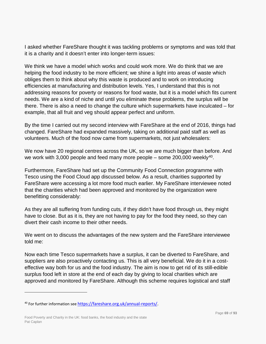I asked whether FareShare thought it was tackling problems or symptoms and was told that it is a charity and it doesn't enter into longer-term issues:

We think we have a model which works and could work more. We do think that we are helping the food industry to be more efficient; we shine a light into areas of waste which obliges them to think about why this waste is produced and to work on introducing efficiencies at manufacturing and distribution levels. Yes, I understand that this is not addressing reasons for poverty or reasons for food waste, but it is a model which fits current needs. We are a kind of niche and until you eliminate these problems, the surplus will be there. There is also a need to change the culture which supermarkets have inculcated – for example, that all fruit and veg should appear perfect and uniform.

By the time I carried out my second interview with FareShare at the end of 2016, things had changed. FareShare had expanded massively, taking on additional paid staff as well as volunteers. Much of the food now came from supermarkets, not just wholesalers:

We now have 20 regional centres across the UK, so we are much bigger than before. And we work with 3,000 people and feed many more people – some  $200,000$  weekly<sup>40</sup>.

Furthermore, FareShare had set up the Community Food Connection programme with Tesco using the Food Cloud app discussed below. As a result, charities supported by FareShare were accessing a lot more food much earlier. My FareShare interviewee noted that the charities which had been approved and monitored by the organization were benefitting considerably:

As they are all suffering from funding cuts, if they didn't have food through us, they might have to close. But as it is, they are not having to pay for the food they need, so they can divert their cash income to their other needs.

We went on to discuss the advantages of the new system and the FareShare interviewee told me:

Now each time Tesco supermarkets have a surplus, it can be diverted to FareShare, and suppliers are also proactively contacting us. This is all very beneficial. We do it in a costeffective way both for us and the food industry. The aim is now to get rid of its still-edible surplus food left in store at the end of each day by giving to local charities which are approved and monitored by FareShare. Although this scheme requires logistical and staff

<span id="page-68-0"></span><sup>40</sup> For further information see [https://fareshare.org.uk/annual-reports/.](https://fareshare.org.uk/annual-reports/)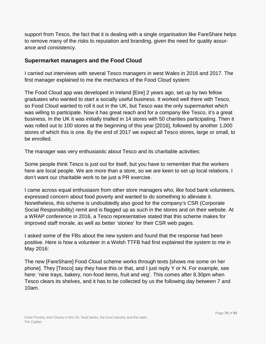support from Tesco, the fact that it is dealing with a single organisation like FareShare helps to remove many of the risks to reputation and branding, given the need for quality assurance and consistency.

#### **Supermarket managers and the Food Cloud**

I carried out interviews with several Tesco managers in west Wales in 2016 and 2017. The first manager explained to me the mechanics of the Food Cloud system:

The Food Cloud app was developed in Ireland [Eire] 2 years ago, set up by two fellow graduates who wanted to start a socially useful business. It worked well there with Tesco, so Food Cloud wanted to roll it out in the UK, but Tesco was the only supermarket which was willing to participate. Now it has great reach and for a company like Tesco, it's a great business. In the UK it was initially trialled in 14 stores with 50 charities participating. Then it was rolled out to 100 stores at the beginning of this year [2016], followed by another 1,000 stores of which this is one. By the end of 2017 we expect all Tesco stores, large or small, to be enrolled.

The manager was very enthusiastic about Tesco and its charitable activities:

Some people think Tesco is just out for itself, but you have to remember that the workers here are local people. We are more than a store, so we are keen to set up local relations. I don't want our charitable work to be just a PR exercise.

I came across equal enthusiasm from other store managers who, like food bank volunteers, expressed concern about food poverty and wanted to do something to alleviate it. Nonetheless, this scheme is undoubtedly also good for the company's CSR (Corporate Social Responsibility) remit and is flagged up as such in the stores and on their website. At a WRAP conference in 2016, a Tesco representative stated that this scheme makes for improved staff morale, as well as better 'stories' for their CSR web pages.

I asked some of the FBs about the new system and found that the response had been positive. Here is how a volunteer in a Welsh TTFB had first explained the system to me in May 2016:

The new [FareShare] Food Cloud scheme works through texts [shows me some on her phone]. They [Tesco] say they have this or that, and I just reply Y or N. For example, see here: 'nine trays, bakery, non-food items, fruit and veg'. This comes after 8.30pm when Tesco clears its shelves, and it has to be collected by us the following day between 7 and 10am.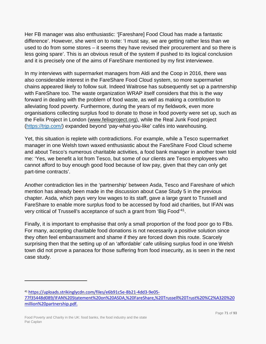Her FB manager was also enthusiastic: '[Fareshare] Food Cloud has made a fantastic difference'. However, she went on to note: 'I must say, we are getting rather less than we used to do from some stores – it seems they have revised their procurement and so there is less going spare'. This is an obvious result of the system if pushed to its logical conclusion and it is precisely one of the aims of FareShare mentioned by my first interviewee.

In my interviews with supermarket managers from Aldi and the Coop in 2016, there was also considerable interest in the FareShare Food Cloud system, so more supermarket chains appeared likely to follow suit. Indeed Waitrose has subsequently set up a partnership with FareShare too. The waste organization WRAP itself considers that this is the way forward in dealing with the problem of food waste, as well as making a contribution to alleviating food poverty. Furthermore, during the years of my fieldwork, even more organisations collecting surplus food to donate to those in food poverty were set up, such as the Felix Project in London (www.felixproject.org), while the Real Junk Food project [\(https://trjp.com/\)](https://trjp.com/) expanded beyond 'pay-what-you-like' cafés into warehousing.

Yet, this situation is replete with contradictions. For example, while a Tesco supermarket manager in one Welsh town waxed enthusiastic about the FareShare Food Cloud scheme and about Tesco's numerous charitable activities, a food bank manager in another town told me: 'Yes, we benefit a lot from Tesco, but some of our clients are Tesco employees who cannot afford to buy enough good food because of low pay, given that they can only get part-time contracts'.

Another contradiction lies in the 'partnership' between Asda, Tesco and Fareshare of which mention has already been made in the discussion about Case Study 5 in the previous chapter. Asda, which pays very low wages to its staff, gave a large grant to Trussell and FareShare to enable more surplus food to be accessed by food aid charities, but IFAN was very critical of Trussell's acceptance of such a grant from 'Big Food'[41.](#page-70-0)

Finally, it is important to emphasise that only a small proportion of the food poor go to FBs. For many, accepting charitable food donations is not necessarily a positive solution since they often feel embarrassment and shame if they are forced down this route. Scarcely surprising then that the setting up of an 'affordable' cafe utilising surplus food in one Welsh town did not prove a panacea for those suffering from food insecurity, as is seen in the next case study.

<span id="page-70-0"></span><sup>41</sup> [https://uploads.strikinglycdn.com/files/e6b91c5e-8b21-4dd3-9e05-](https://uploads.strikinglycdn.com/files/e6b91c5e-8b21-4dd3-9e05-77f35448d089/IFAN%20Statement%20on%20ASDA,%20FareShare,%20Trussell%20Trust%20%C2%A320%20million%20partnership.pdf) [77f35448d089/IFAN%20Statement%20on%20ASDA,%20FareShare,%20Trussell%20Trust%20%C2%A320%20](https://uploads.strikinglycdn.com/files/e6b91c5e-8b21-4dd3-9e05-77f35448d089/IFAN%20Statement%20on%20ASDA,%20FareShare,%20Trussell%20Trust%20%C2%A320%20million%20partnership.pdf) [million%20partnership.pdf.](https://uploads.strikinglycdn.com/files/e6b91c5e-8b21-4dd3-9e05-77f35448d089/IFAN%20Statement%20on%20ASDA,%20FareShare,%20Trussell%20Trust%20%C2%A320%20million%20partnership.pdf)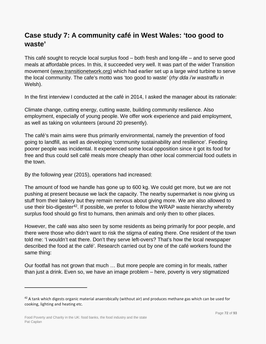# **Case study 7: A community café in West Wales: 'too good to waste'**

This café sought to recycle local surplus food – both fresh and long-life – and to serve good meals at affordable prices. In this, it succeeded very well. It was part of the wider Transition movement (www.transitionetwork.org) which had earlier set up a large wind turbine to serve the local community. The cafe's motto was 'too good to waste' (*rhy dda i'w wastraffu* in Welsh).

In the first interview I conducted at the café in 2014, I asked the manager about its rationale:

Climate change, cutting energy, cutting waste, building community resilience. Also employment, especially of young people. We offer work experience and paid employment, as well as taking on volunteers (around 20 presently).

The café's main aims were thus primarily environmental, namely the prevention of food going to landfill, as well as developing 'community sustainability and resilience'. Feeding poorer people was incidental. It experienced some local opposition since it got its food for free and thus could sell café meals more cheaply than other local commercial food outlets in the town.

By the following year (2015), operations had increased:

The amount of food we handle has gone up to 600 kg. We could get more, but we are not pushing at present because we lack the capacity. The nearby supermarket is now giving us stuff from their bakery but they remain nervous about giving more. We are also allowed to use their bio-digester<sup>[42](#page-71-0)</sup>. If possible, we prefer to follow the WRAP waste hierarchy whereby surplus food should go first to humans, then animals and only then to other places.

However, the café was also seen by some residents as being primarily for poor people, and there were those who didn't want to risk the stigma of eating there. One resident of the town told me: 'I wouldn't eat there. Don't they serve left-overs? That's how the local newspaper described the food at the café'. Research carried out by one of the café workers found the same thing:

Our footfall has not grown that much … But more people are coming in for meals, rather than just a drink. Even so, we have an image problem – here, poverty is very stigmatized

<span id="page-71-0"></span><sup>&</sup>lt;sup>42</sup> A tank which digests organic material anaerobically (without air) and produces methane gas which can be used for cooking, lighting and heating etc.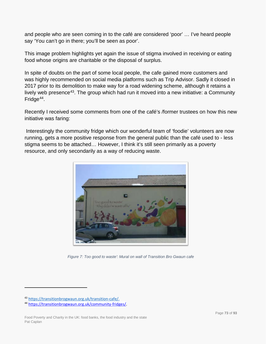and people who are seen coming in to the café are considered 'poor' … I've heard people say 'You can't go in there; you'll be seen as poor'.

This image problem highlights yet again the issue of stigma involved in receiving or eating food whose origins are charitable or the disposal of surplus.

In spite of doubts on the part of some local people, the cafe gained more customers and was highly recommended on social media platforms such as Trip Advisor. Sadly it closed in 2017 prior to its demolition to make way for a road widening scheme, although it retains a lively web presence<sup>43</sup>. The group which had run it moved into a new initiative: a Community Fridge<sup>[44](#page-72-1)</sup>.

Recently I received some comments from one of the café's /former trustees on how this new initiative was faring:

Interestingly the community fridge which our wonderful team of 'foodie' volunteers are now running, gets a more positive response from the general public than the café used to - less stigma seems to be attached… However, I think it's still seen primarily as a poverty resource, and only secondarily as a way of reducing waste.



*Figure 7: Too good to waste': Mural on wall of Transition Bro Gwaun cafe*

 $\overline{a}$ 

<span id="page-72-0"></span><sup>43</sup> [https://transitionbrogwaun.org.uk/transition-cafe/.](https://transitionbrogwaun.org.uk/transition-cafe/)

<span id="page-72-1"></span><sup>44</sup> [https://transitionbrogwaun.org.uk/community-fridges/.](https://eur01.safelinks.protection.outlook.com/?url=https%3A%2F%2Ftransitionbrogwaun.org.uk%2Fcommunity-fridges%2F&data=01%7C01%7Cp.caplan%40gold.ac.uk%7Ca2b664ce0610470c323f08d7a34f3919%7C0d431f3f20c1461c958a46b29d4e021b%7C0&sdata=YKZ%2BBtHPn3k7p7%2Fn5p0RbxWOzz1aSGsYTaDuzlHND4s%3D&reserved=0)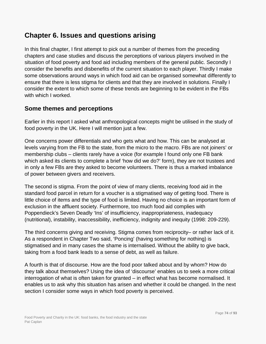### **Chapter 6. Issues and questions arising**

In this final chapter, I first attempt to pick out a number of themes from the preceding chapters and case studies and discuss the perceptions of various players involved in the situation of food poverty and food aid including members of the general public. Secondly I consider the benefits and disbenefits of the current situation to each player. Thirdly I make some observations around ways in which food aid can be organised somewhat differently to ensure that there is less stigma for clients and that they are involved in solutions. Finally I consider the extent to which some of these trends are beginning to be evident in the FBs with which I worked.

#### **Some themes and perceptions**

Earlier in this report I asked what anthropological concepts might be utilised in the study of food poverty in the UK. Here I will mention just a few.

One concerns power differentials and who gets what and how. This can be analysed at levels varying from the FB to the state, from the micro to the macro. FBs are not joiners' or membership clubs – clients rarely have a voice (for example I found only one FB bank which asked its clients to complete a brief 'how did we do?' form), they are not trustees and in only a few FBs are they asked to become volunteers. There is thus a marked imbalance of power between givers and receivers.

The second is stigma. From the point of view of many clients, receiving food aid in the standard food parcel in return for a voucher is a stigmatised way of getting food. There is little choice of items and the type of food is limited. Having no choice is an important form of exclusion in the affluent society. Furthermore, too much food aid complies with Poppendieck's Seven Deadly 'Ins' of insufficiency, inappropriateness, inadequacy (nutritional), instability, inaccessibility, inefficiency, indignity and inequity (1998: 209-229).

The third concerns giving and receiving. Stigma comes from reciprocity– or rather lack of it. As a respondent in Chapter Two said, 'Poncing' (having something for nothing) is stigmatised and in many cases the shame is internalised. Without the ability to give back, taking from a food bank leads to a sense of debt, as well as failure.

A fourth is that of discourse. How are the food poor talked about and by whom? How do they talk about themselves? Using the idea of 'discourse' enables us to seek a more critical interrogation of what is often taken for granted – in effect what has become normalised. It enables us to ask why this situation has arisen and whether it could be changed. In the next section I consider some ways in which food poverty is perceived.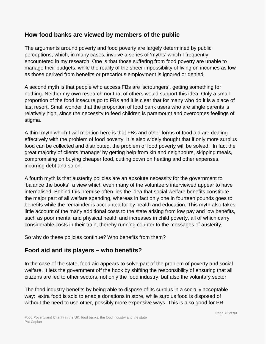#### **How food banks are viewed by members of the public**

The arguments around poverty and food poverty are largely determined by public perceptions, which, in many cases, involve a series of 'myths' which I frequently encountered in my research. One is that those suffering from food poverty are unable to manage their budgets, while the reality of the sheer impossibility of living on incomes as low as those derived from benefits or precarious employment is ignored or denied.

A second myth is that people who access FBs are 'scroungers', getting something for nothing. Neither my own research nor that of others would support this idea. Only a small proportion of the food insecure go to FBs and it is clear that for many who do it is a place of last resort. Small wonder that the proportion of food bank users who are single parents is relatively high, since the necessity to feed children is paramount and overcomes feelings of stigma.

A third myth which I will mention here is that FBs and other forms of food aid are dealing effectively with the problem of food poverty. It is also widely thought that if only more surplus food can be collected and distributed, the problem of food poverty will be solved. In fact the great majority of clients 'manage' by getting help from kin and neighbours, skipping meals, compromising on buying cheaper food, cutting down on heating and other expenses, incurring debt and so on.

A fourth myth is that austerity policies are an absolute necessity for the government to 'balance the books', a view which even many of the volunteers interviewed appear to have internalised. Behind this premise often lies the idea that social welfare benefits constitute the major part of all welfare spending, whereas in fact only one in fourteen pounds goes to benefits while the remainder is accounted for by health and education. This myth also takes little account of the many additional costs to the state arising from low pay and low benefits, such as poor mental and physical health and increases in child poverty, all of which carry considerable costs in their train, thereby running counter to the messages of austerity.

So why do these policies continue? Who benefits from them?

### **Food aid and its players – who benefits?**

In the case of the state, food aid appears to solve part of the problem of poverty and social welfare. It lets the government off the hook by shifting the responsibility of ensuring that all citizens are fed to other sectors, not only the food industry, but also the voluntary sector

The food industry benefits by being able to dispose of its surplus in a socially acceptable way: extra food is sold to enable donations in store, while surplus food is disposed of without the need to use other, possibly more expensive ways. This is also good for PR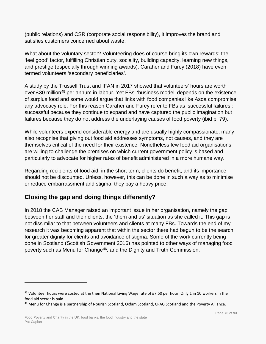(public relations) and CSR (corporate social responsibility), it improves the brand and satisfies customers concerned about waste.

What about the voluntary sector? Volunteering does of course bring its own rewards: the 'feel good' factor, fulfilling Christian duty, sociality, building capacity, learning new things, and prestige (especially through winning awards). Caraher and Furey (2018) have even termed volunteers 'secondary beneficiaries'.

A study by the Trussell Trust and IFAN in 2017 showed that volunteers' hours are worth over £30 million<sup>[45](#page-75-0)</sup> per annum in labour. Yet FBs' 'business model' depends on the existence of surplus food and some would argue that links with food companies like Asda compromise any advocacy role. For this reason Caraher and Furey refer to FBs as 'successful failures': successful because they continue to expand and have captured the public imagination but failures because they do not address the underlaying causes of food poverty (ibid p. 79).

While volunteers expend considerable energy and are usually highly compassionate, many also recognise that giving out food aid addresses symptoms, not causes, and they are themselves critical of the need for their existence. Nonetheless few food aid organisations are willing to challenge the premises on which current government policy is based and particularly to advocate for higher rates of benefit administered in a more humane way.

Regarding recipients of food aid, in the short term, clients do benefit, and its importance should not be discounted. Unless, however, this can be done in such a way as to minimise or reduce embarrassment and stigma, they pay a heavy price.

### **Closing the gap and doing things differently?**

In 2018 the CAB Manager raised an important issue in her organisation, namely the gap between her staff and their clients, the 'them and us' situation as she called it. This gap is not dissimilar to that between volunteers and clients at many FBs. Towards the end of my research it was becoming apparent that within the sector there had begun to be the search for greater dignity for clients and avoidance of stigma. Some of the work currently being done in Scotland (Scottish Government 2016) has pointed to other ways of managing food poverty such as Menu for Change<sup>[46](#page-75-1)</sup>, and the Dignity and Truth Commission.

 $\overline{a}$ 

<span id="page-75-0"></span><sup>&</sup>lt;sup>45</sup> Volunteer hours were costed at the then National Living Wage rate of £7.50 per hour. Only 1 in 10 workers in the food aid sector is paid.

<span id="page-75-1"></span><sup>&</sup>lt;sup>46</sup> Menu for Change is a partnership of Nourish Scotland, Oxfam Scotland, CPAG Scotland and the Poverty Alliance.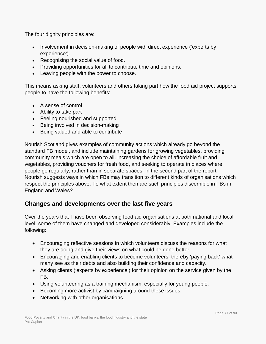The four dignity principles are:

- Involvement in decision-making of people with direct experience ('experts by experience').
- Recognising the social value of food.
- Providing opportunities for all to contribute time and opinions.
- Leaving people with the power to choose.

This means asking staff, volunteers and others taking part how the food aid project supports people to have the following benefits:

- A sense of control
- Ability to take part
- Feeling nourished and supported
- Being involved in decision-making
- Being valued and able to contribute

Nourish Scotland gives examples of community actions which already go beyond the standard FB model, and include maintaining gardens for growing vegetables, providing community meals which are open to all, increasing the choice of affordable fruit and vegetables, providing vouchers for fresh food, and seeking to operate in places where people go regularly, rather than in separate spaces. In the second part of the report, Nourish suggests ways in which FBs may transition to different kinds of organisations which respect the principles above. To what extent then are such principles discernible in FBs in England and Wales?

#### **Changes and developments over the last five years**

Over the years that I have been observing food aid organisations at both national and local level, some of them have changed and developed considerably. Examples include the following:

- Encouraging reflective sessions in which volunteers discuss the reasons for what they are doing and give their views on what could be done better.
- Encouraging and enabling clients to become volunteers, thereby 'paying back' what many see as their debts and also building their confidence and capacity.
- Asking clients ('experts by experience') for their opinion on the service given by the FB.
- Using volunteering as a training mechanism, especially for young people.
- Becoming more activist by campaigning around these issues.
- Networking with other organisations.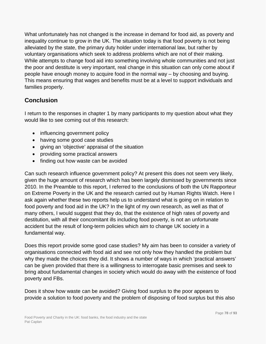What unfortunately has not changed is the increase in demand for food aid, as poverty and inequality continue to grow in the UK. The situation today is that food poverty is not being alleviated by the state, the primary duty holder under international law, but rather by voluntary organisations which seek to address problems which are not of their making. While attempts to change food aid into something involving whole communities and not just the poor and destitute is very important, real change in this situation can only come about if people have enough money to acquire food in the normal way – by choosing and buying. This means ensuring that wages and benefits must be at a level to support individuals and families properly.

### **Conclusion**

I return to the responses in chapter 1 by many participants to my question about what they would like to see coming out of this research:

- influencing government policy
- having some good case studies
- giving an 'objective' appraisal of the situation
- providing some practical answers
- finding out how waste can be avoided

Can such research influence government policy? At present this does not seem very likely, given the huge amount of research which has been largely dismissed by governments since 2010. In the Preamble to this report, I referred to the conclusions of both the UN Rapporteur on Extreme Poverty in the UK and the research carried out by Human Rights Watch. Here I ask again whether these two reports help us to understand what is going on in relation to food poverty and food aid in the UK? In the light of my own research, as well as that of many others, I would suggest that they do, that the existence of high rates of poverty and destitution, with all their concomitant ills including food poverty, is not an unfortunate accident but the result of long-term policies which aim to change UK society in a fundamental way.

Does this report provide some good case studies? My aim has been to consider a variety of organisations connected with food aid and see not only how they handled the problem but why they made the choices they did. It shows a number of ways in which 'practical answers' can be given provided that there is a willingness to interrogate basic premises and seek to bring about fundamental changes in society which would do away with the existence of food poverty and FBs.

Does it show how waste can be avoided? Giving food surplus to the poor appears to provide a solution to food poverty and the problem of disposing of food surplus but this also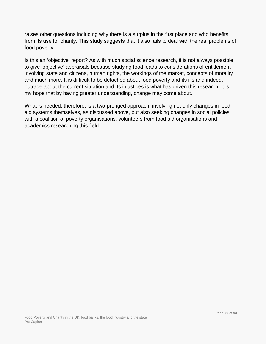raises other questions including why there is a surplus in the first place and who benefits from its use for charity. This study suggests that it also fails to deal with the real problems of food poverty.

Is this an 'objective' report? As with much social science research, it is not always possible to give 'objective' appraisals because studying food leads to considerations of entitlement involving state and citizens, human rights, the workings of the market, concepts of morality and much more. It is difficult to be detached about food poverty and its ills and indeed, outrage about the current situation and its injustices is what has driven this research. It is my hope that by having greater understanding, change may come about.

What is needed, therefore, is a two-pronged approach, involving not only changes in food aid systems themselves, as discussed above, but also seeking changes in social policies with a coalition of poverty organisations, volunteers from food aid organisations and academics researching this field.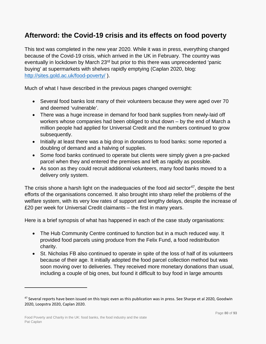### **Afterword: the Covid-19 crisis and its effects on food poverty**

This text was completed in the new year 2020. While it was in press, everything changed because of the Covid-19 crisis, which arrived in the UK in February. The country was eventually in lockdown by March 23<sup>rd</sup> but prior to this there was unprecedented 'panic buying' at supermarkets with shelves rapidly emptying (Caplan 2020, blog: <http://sites.gold.ac.uk/food-poverty/> ).

Much of what I have described in the previous pages changed overnight:

- Several food banks lost many of their volunteers because they were aged over 70 and deemed 'vulnerable'.
- There was a huge increase in demand for food bank supplies from newly-laid off workers whose companies had been obliged to shut down – by the end of March a million people had applied for Universal Credit and the numbers continued to grow subsequently.
- Initially at least there was a big drop in donations to food banks: some reported a doubling of demand and a halving of supplies.
- Some food banks continued to operate but clients were simply given a pre-packed parcel when they and entered the premises and left as rapidly as possible.
- As soon as they could recruit additional volunteers, many food banks moved to a delivery only system.

The crisis shone a harsh light on the inadequacies of the food aid sector<sup>[47](#page-79-0)</sup>, despite the best efforts of the organisations concerned. It also brought into sharp relief the problems of the welfare system, with its very low rates of support and lengthy delays, despite the increase of £20 per week for Universal Credit claimants – the first in many years.

Here is a brief synopsis of what has happened in each of the case study organisations:

- The Hub Community Centre continued to function but in a much reduced way. It provided food parcels using produce from the Felix Fund, a food redistribution charity.
- St. Nicholas FB also continued to operate in spite of the loss of half of its volunteers because of their age. It initially adopted the food parcel collection method but was soon moving over to deliveries. They received more monetary donations than usual, including a couple of big ones, but found it difficult to buy food in large amounts

 $\overline{a}$ 

<span id="page-79-0"></span><sup>&</sup>lt;sup>47</sup> Several reports have been issued on this topic even as this publication was in press. See Sharpe et al 2020, Goodwin 2020, Loopstra 2020, Caplan 2020.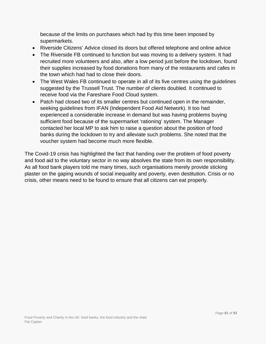because of the limits on purchases which had by this time been imposed by supermarkets.

- Riverside Citizens' Advice closed its doors but offered telephone and online advice
- The Riverside FB continued to function but was moving to a delivery system. It had recruited more volunteers and also, after a low period just before the lockdown, found their supplies increased by food donations from many of the restaurants and cafes in the town which had had to close their doors.
- The West Wales FB continued to operate in all of its five centres using the quidelines suggested by the Trussell Trust. The number of clients doubled. It continued to receive food via the Fareshare Food Cloud system.
- Patch had closed two of its smaller centres but continued open in the remainder, seeking guidelines from IFAN (Independent Food Aid Network). It too had experienced a considerable increase in demand but was having problems buying sufficient food because of the supermarket 'rationing' system. The Manager contacted her local MP to ask him to raise a question about the position of food banks during the lockdown to try and alleviate such problems. She noted that the voucher system had become much more flexible.

The Covid-19 crisis has highlighted the fact that handing over the problem of food poverty and food aid to the voluntary sector in no way absolves the state from its own responsibility. As all food bank players told me many times, such organisations merely provide sticking plaster on the gaping wounds of social inequality and poverty, even destitution. Crisis or no crisis, other means need to be found to ensure that all citizens can eat properly.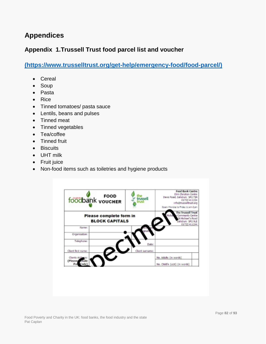### **Appendices**

#### **Appendix 1.Trussell Trust food parcel list and voucher**

**[\(https://www.trusselltrust.org/get-help/emergency-food/food-parcel/\)](https://www.trusselltrust.org/get-help/emergency-food/food-parcel/)** 

- Cereal
- Soup
- Pasta
- Rice
- Tinned tomatoes/ pasta sauce
- Lentils, beans and pulses
- Tinned meat
- Tinned vegetables
- Tea/coffee
- Tinned fruit
- Biscuits
- UHT milk
- Fruit juice
- Non-food items such as toiletries and hygiene products

| FOOD FOOD                                        | me<br>trussell<br>trust | Food Bank Centre<br>Elim Christian Centre<br>Denis Road, Salisbury SP2 7SN<br>01722 411224<br>info@trusselltrust.org<br>Open: Monday to Priday 11 am-2 pm |
|--------------------------------------------------|-------------------------|-----------------------------------------------------------------------------------------------------------------------------------------------------------|
| Please complete form in<br><b>BLOCK CAPITALS</b> |                         | The Trussell Trust<br>Community Centre<br>St Michael's Road<br>Salisbury SP2 9LE                                                                          |
| Name:                                            |                         | 01722411244                                                                                                                                               |
| Organisation:                                    |                         |                                                                                                                                                           |
| Telephane:                                       | Date:                   |                                                                                                                                                           |
| Client first name:                               | Client surname:         |                                                                                                                                                           |
| Clients Add                                      |                         | No. Adults (in words)                                                                                                                                     |
| (Please)<br>Pos                                  |                         | No. Child'n (u16) (in words)                                                                                                                              |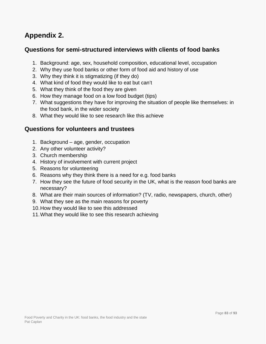## **Appendix 2.**

#### **Questions for semi-structured interviews with clients of food banks**

- 1. Background: age, sex, household composition, educational level, occupation
- 2. Why they use food banks or other form of food aid and history of use
- 3. Why they think it is stigmatizing (if they do)
- 4. What kind of food they would like to eat but can't
- 5. What they think of the food they are given
- 6. How they manage food on a low food budget (tips)
- 7. What suggestions they have for improving the situation of people like themselves: in the food bank, in the wider society
- 8. What they would like to see research like this achieve

#### **Questions for volunteers and trustees**

- 1. Background age, gender, occupation
- 2. Any other volunteer activity?
- 3. Church membership
- 4. History of involvement with current project
- 5. Reasons for volunteering
- 6. Reasons why they think there is a need for e.g. food banks
- 7. How they see the future of food security in the UK, what is the reason food banks are necessary?
- 8. What are their main sources of information? (TV, radio, newspapers, church, other)
- 9. What they see as the main reasons for poverty
- 10.How they would like to see this addressed
- 11.What they would like to see this research achieving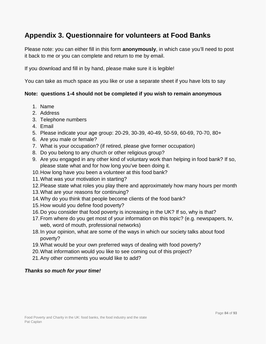## **Appendix 3. Questionnaire for volunteers at Food Banks**

Please note: you can either fill in this form **anonymously**, in which case you'll need to post it back to me or you can complete and return to me by email.

If you download and fill in by hand, please make sure it is legible!

You can take as much space as you like or use a separate sheet if you have lots to say

#### **Note: questions 1-4 should not be completed if you wish to remain anonymous**

- 1. Name
- 2. Address
- 3. Telephone numbers
- 4. Email
- 5. Please indicate your age group: 20-29, 30-39, 40-49, 50-59, 60-69, 70-70, 80+
- 6. Are you male or female?
- 7. What is your occupation? (if retired, please give former occupation)
- 8. Do you belong to any church or other religious group?
- 9. Are you engaged in any other kind of voluntary work than helping in food bank? If so, please state what and for how long you've been doing it.
- 10.How long have you been a volunteer at this food bank?
- 11.What was your motivation in starting?
- 12.Please state what roles you play there and approximately how many hours per month
- 13.What are your reasons for continuing?
- 14.Why do you think that people become clients of the food bank?
- 15.How would you define food poverty?
- 16.Do you consider that food poverty is increasing in the UK? If so, why is that?
- 17.From where do you get most of your information on this topic? (e.g. newspapers, tv, web, word of mouth, professional networks)
- 18.In your opinion, what are some of the ways in which our society talks about food poverty?
- 19.What would be your own preferred ways of dealing with food poverty?
- 20.What information would you like to see coming out of this project?
- 21.Any other comments you would like to add?

#### *Thanks so much for your time!*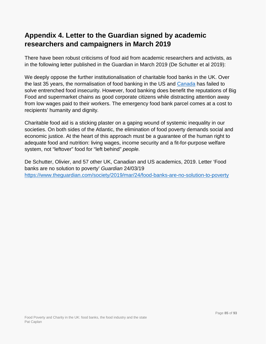## **Appendix 4. Letter to the Guardian signed by academic researchers and campaigners in March 2019**

There have been robust criticisms of food aid from academic researchers and activists, as in the following letter published in the Guardian in March 2019 (De Schutter et al 2019):

We deeply oppose the further institutionalisation of charitable food banks in the UK. Over the last 35 years, the normalisation of food banking in the US and [Canada](https://www.theguardian.com/world/canada) has failed to solve entrenched food insecurity. However, food banking does benefit the reputations of Big Food and supermarket chains as good corporate citizens while distracting attention away from low wages paid to their workers. The emergency food bank parcel comes at a cost to recipients' humanity and dignity*.*

Charitable food aid is a sticking plaster on a gaping wound of systemic inequality in our societies. On both sides of the Atlantic, the elimination of food poverty demands social and economic justice. At the heart of this approach must be a guarantee of the human right to adequate food and nutrition: living wages, income security and a fit-for-purpose welfare system, not "leftover" food for "left behind" *people.*

De Schutter, Olivier, and 57 other UK, Canadian and US academics, 2019. Letter 'Food banks are no solution to poverty' *Guardian* 24/03/19 <https://www.theguardian.com/society/2019/mar/24/food-banks-are-no-solution-to-poverty>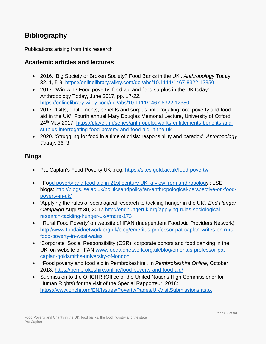## **Bibliography**

Publications arising from this research

#### **Academic articles and lectures**

- 2016. 'Big Society or Broken Society? Food Banks in the UK'. *Anthropology* Today 32, 1, 5-9.<https://onlinelibrary.wiley.com/doi/abs/10.1111/1467-8322.12350>
- 2017. 'Win-win? Food poverty, food aid and food surplus in the UK today'. Anthropology Today, June 2017, pp. 17-22. <https://onlinelibrary.wiley.com/doi/abs/10.1111/1467-8322.12350>
- 2017. 'Gifts, entitlements, benefits and surplus: interrogating food poverty and food aid in the UK'. Fourth annual Mary Douglas Memorial Lecture, University of Oxford, 24th May 2017. [https://player.fm/series/anthropology/gifts-entitlements-benefits-and](https://player.fm/series/anthropology/gifts-entitlements-benefits-and-surplus-interrogating-food-poverty-and-food-aid-in-the-uk)[surplus-interrogating-food-poverty-and-food-aid-in-the-uk](https://player.fm/series/anthropology/gifts-entitlements-benefits-and-surplus-interrogating-food-poverty-and-food-aid-in-the-uk)
- 2020. 'Struggling for food in a time of crisis: responsibility and paradox'. *Anthropology Today*, 36, 3.

#### **Blogs**

- Pat Caplan's Food Poverty UK blog:<https://sites.gold.ac.uk/food-poverty/>
- 'F[ood poverty and food aid in 21st century UK: a view from anthropology](http://blogs.lse.ac.uk/politicsandpolicy/an-anthropological-perspective-on-food-poverty-in-uk/)': LSE blogs: [http://blogs.lse.ac.uk/politicsandpolicy/an-anthropological-perspective-on-food](http://blogs.lse.ac.uk/politicsandpolicy/an-anthropological-perspective-on-food-poverty-in-uk/)[poverty-in-uk/](http://blogs.lse.ac.uk/politicsandpolicy/an-anthropological-perspective-on-food-poverty-in-uk/)
- 'Applying the rules of sociological research to tackling hunger in the UK'*, End Hunger Campaign* August 30, 2017 [http://endhungeruk.org/applying-rules-sociological](http://endhungeruk.org/applying-rules-sociological-research-tackling-hunger-uk/#more-173)[research-tackling-hunger-uk/#more-173](http://endhungeruk.org/applying-rules-sociological-research-tackling-hunger-uk/#more-173)
- 'Rural Food Poverty' on website of IFAN (Independent Food Aid Providers Network) [http://www.foodaidnetwork.org.uk/blog/emeritus-professor-pat-caplan-writes-on-rural](http://www.foodaidnetwork.org.uk/blog/emeritus-professor-pat-caplan-writes-on-rural-food-poverty-in-west-wales)[food-poverty-in-west-wales](http://www.foodaidnetwork.org.uk/blog/emeritus-professor-pat-caplan-writes-on-rural-food-poverty-in-west-wales)
- 'Corporate Social Responsibility (CSR), corporate donors and food banking in the UK' on website of IFAN [www.foodaidnetwork.org.uk/blog/emeritus-professor-pat](http://www.foodaidnetwork.org.uk/blog/emeritus-professor-pat-caplan-goldsmiths-university-of-london)[caplan-goldsmiths-university-of-london](http://www.foodaidnetwork.org.uk/blog/emeritus-professor-pat-caplan-goldsmiths-university-of-london)
- 'Food poverty and food aid in Pembrokeshire'. In *Pembrokeshire Online*, October 2018:<https://pembrokeshire.online/food-poverty-and-food-aid/>
- Submission to the OHCHR (Office of the United Nations High Commissioner for Human Rights) for the visit of the Special Rapporteur, 2018: <https://www.ohchr.org/EN/Issues/Poverty/Pages/UKVisitSubmissions.aspx>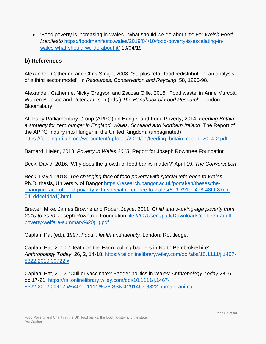• 'Food poverty is increasing in Wales - what should we do about it?' For *Welsh Food Manifesto* [https://foodmanifesto.wales/2019/04/10/food-poverty-is-escalating-in](https://foodmanifesto.wales/2019/04/10/food-poverty-is-escalating-in-wales-what-should-we-do-about-it/)[wales-what-should-we-do-about-it/](https://foodmanifesto.wales/2019/04/10/food-poverty-is-escalating-in-wales-what-should-we-do-about-it/) 10/04/19

#### **b) References**

Alexander, Catherine and Chris Smaje, 2008. 'Surplus retail food redistribution: an analysis of a third sector model'. In *Resources, Conservation and Reycling*. 58, 1290-98.

Alexander, Catherine, Nicky Gregson and Zsuzsa Gille, 2016. 'Food waste' in Anne Murcott, Warren Belasco and Peter Jackson (eds.) *The Handbook of Food Research.* London, Bloomsbury.

All-Party Parliamentary Group (APPG) on Hunger and Food Poverty, 2014. *Feeding Britain: a strategy for zero hunger in England, Wales, Scotland and Northern Ireland*. The Report of the APPG Inquiry into Hunger in the United Kingdom. (unpaginated) [https://feedingbritain.org/wp-content/uploads/2019/01/feeding\\_britain\\_report\\_2014-2.pdf](https://feedingbritain.org/wp-content/uploads/2019/01/feeding_britain_report_2014-2.pdf)

Barnard, Helen, 2018. *Poverty in Wales 2018*. Report for Joseph Rowntree Foundation

Beck, David, 2016. 'Why does the growth of food banks matter?' April 19, *The Conversation*

Beck, David, 2018. *The changing face of food poverty with special reference to Wales*. Ph.D. thesis, University of Bangor [https://research.bangor.ac.uk/portal/en/theses/the](https://research.bangor.ac.uk/portal/en/theses/the-changing-face-of-food-poverty-with-special-reference-to-wales(5d9f791a-f4e8-48fd-87cb-041dd4efd4a1).html)[changing-face-of-food-poverty-with-special-reference-to-wales\(5d9f791a-f4e8-48fd-87cb-](https://research.bangor.ac.uk/portal/en/theses/the-changing-face-of-food-poverty-with-special-reference-to-wales(5d9f791a-f4e8-48fd-87cb-041dd4efd4a1).html)[041dd4efd4a1\).html](https://research.bangor.ac.uk/portal/en/theses/the-changing-face-of-food-poverty-with-special-reference-to-wales(5d9f791a-f4e8-48fd-87cb-041dd4efd4a1).html)

Brewer, Mike, James Browne and Robert Joyce, 2011. *Child and working-age poverty from 2010 to 2020*. Joseph Rowntree Foundation file:///C:/Users/patli/Downloads/children-adultpoverty-welfare-summary%20(1).pdf

Caplan, Pat (ed.), 1997. *Food, Health and Identity.* London: Routledge.

Caplan, Pat, 2010. 'Death on the Farm: culling badgers in North Pembrokeshire' *Anthropology Today*, 26, 2, 14-18. [https://rai.onlinelibrary.wiley.com/doi/abs/10.1111/j.1467-](https://rai.onlinelibrary.wiley.com/doi/abs/10.1111/j.1467-8322.2010.00722.x) [8322.2010.00722.x](https://rai.onlinelibrary.wiley.com/doi/abs/10.1111/j.1467-8322.2010.00722.x)

Caplan, Pat, 2012. 'Cull or vaccinate? Badger politics in Wales' *Anthropology Today* 28, 6. pp.17-21. [https://rai.onlinelibrary.wiley.com/doi/10.1111/j.1467-](https://rai.onlinelibrary.wiley.com/doi/10.1111/j.1467-8322.2012.00912.x%4010.1111/%28ISSN%291467-8322.human_animal) [8322.2012.00912.x%4010.1111/%28ISSN%291467-8322.human\\_animal](https://rai.onlinelibrary.wiley.com/doi/10.1111/j.1467-8322.2012.00912.x%4010.1111/%28ISSN%291467-8322.human_animal)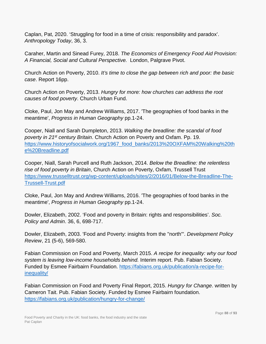Caplan, Pat, 2020. 'Struggling for food in a time of crisis: responsibility and paradox'. *Anthropology Today*, 36, 3.

Caraher, Martin and Sinead Furey, 2018. *The Economics of Emergency Food Aid Provision: A Financial, Social and Cultural Perspective.* London, Palgrave Pivot.

Church Action on Poverty, 2010. *It's time to close the gap between rich and poor: the basic case*. Report 16pp.

Church Action on Poverty, 2013. *Hungry for more: how churches can address the root causes of food poverty*. Church Urban Fund.

Cloke, Paul, Jon May and Andrew Williams, 2017. 'The geographies of food banks in the meantime', *Progress in Human Geography* pp.1-24.

Cooper, Niall and Sarah Dumpleton, 2013. *Walking the breadline: the scandal of food poverty in 21st century Britain*. Church Action on Poverty and Oxfam. Pp. 19. [https://www.historyofsocialwork.org/1967\\_food\\_banks/2013%20OXFAM%20Walking%20th](https://www.historyofsocialwork.org/1967_food_banks/2013%20OXFAM%20Walking%20the%20Breadline.pdf) [e%20Breadline.pdf](https://www.historyofsocialwork.org/1967_food_banks/2013%20OXFAM%20Walking%20the%20Breadline.pdf)

Cooper, Niall, Sarah Purcell and Ruth Jackson, 2014. *Below the Breadline: the relentless rise of food poverty in Britain*, Church Action on Poverty, Oxfam, Trussell Trust [https://www.trusselltrust.org/wp-content/uploads/sites/2/2016/01/Below-the-Breadline-The-](https://www.trusselltrust.org/wp-content/uploads/sites/2/2016/01/Below-the-Breadline-The-Trussell-Trust.pdf)[Trussell-Trust.pdf](https://www.trusselltrust.org/wp-content/uploads/sites/2/2016/01/Below-the-Breadline-The-Trussell-Trust.pdf)

Cloke, Paul, Jon May and Andrew Williams, 2016. 'The geographies of food banks in the meantime', *Progress in Human Geography* pp.1-24.

Dowler, Elizabeth, 2002. 'Food and poverty in Britain: rights and responsibilities'. *Soc. Policy and Admin*. 36, 6, 698-717.

Dowler, Elizabeth, 2003. 'Food and Poverty: insights from the ''north'''. *Development Policy Review*, 21 (5-6), 569-580.

Fabian Commission on Food and Poverty, March 2015. *A recipe for inequality: why our food system is leaving low-income households behind.* Interim report. Pub. Fabian Society. Funded by Esmee Fairbairn Foundation. [https://fabians.org.uk/publication/a-recipe-for](https://fabians.org.uk/publication/a-recipe-for-inequality/)[inequality/](https://fabians.org.uk/publication/a-recipe-for-inequality/)

Fabian Commission on Food and Poverty Final Report, 2015. *Hungry for Change*. written by Cameron Tait. Pub. Fabian Society. Funded by Esmee Fairbairn foundation. <https://fabians.org.uk/publication/hungry-for-change/>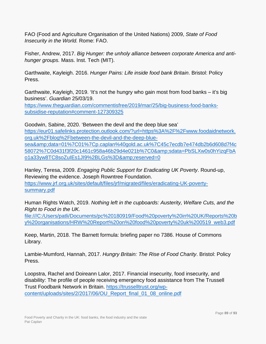FAO (Food and Agriculture Organisation of the United Nations) 2009, *State of Food Insecurity in the World.* Rome: FAO.

Fisher, Andrew, 2017. *Big Hunger: the unholy alliance between corporate America and antihunger groups.* Mass. Inst. Tech (MIT).

Garthwaite, Kayleigh. 2016. *Hunger Pains: Life inside food bank Britain*. Bristol: Policy Press.

Garthwaite, Kayleigh, 2019. 'It's not the hungry who gain most from food banks – it's big business'. *Guardian* 25/03/19.

[https://www.theguardian.com/commentisfree/2019/mar/25/big-business-food-banks](https://www.theguardian.com/commentisfree/2019/mar/25/big-business-food-banks-subsidise-reputation#comment-127309325)[subsidise-reputation#comment-127309325](https://www.theguardian.com/commentisfree/2019/mar/25/big-business-food-banks-subsidise-reputation#comment-127309325)

Goodwin, Sabine, 2020. 'Between the devil and the deep blue sea' [https://eur01.safelinks.protection.outlook.com/?url=https%3A%2F%2Fwww.foodaidnetwork.](https://eur01.safelinks.protection.outlook.com/?url=https%3A%2F%2Fwww.foodaidnetwork.org.uk%2Fblog%2Fbetween-the-devil-and-the-deep-blue-sea&data=01%7C01%7Cp.caplan%40gold.ac.uk%7C45c7ecdb7e474db2b6d608d7f4c58072%7C0d431f3f20c1461c958a46b29d4e021b%7C0&sdata=PbSLXw0s0hYizqFbAo1a33yw8TC8soZuIEs1JI9%2BLGs%3D&reserved=0) [org.uk%2Fblog%2Fbetween-the-devil-and-the-deep-blue](https://eur01.safelinks.protection.outlook.com/?url=https%3A%2F%2Fwww.foodaidnetwork.org.uk%2Fblog%2Fbetween-the-devil-and-the-deep-blue-sea&data=01%7C01%7Cp.caplan%40gold.ac.uk%7C45c7ecdb7e474db2b6d608d7f4c58072%7C0d431f3f20c1461c958a46b29d4e021b%7C0&sdata=PbSLXw0s0hYizqFbAo1a33yw8TC8soZuIEs1JI9%2BLGs%3D&reserved=0)[sea&data=01%7C01%7Cp.caplan%40gold.ac.uk%7C45c7ecdb7e474db2b6d608d7f4c](https://eur01.safelinks.protection.outlook.com/?url=https%3A%2F%2Fwww.foodaidnetwork.org.uk%2Fblog%2Fbetween-the-devil-and-the-deep-blue-sea&data=01%7C01%7Cp.caplan%40gold.ac.uk%7C45c7ecdb7e474db2b6d608d7f4c58072%7C0d431f3f20c1461c958a46b29d4e021b%7C0&sdata=PbSLXw0s0hYizqFbAo1a33yw8TC8soZuIEs1JI9%2BLGs%3D&reserved=0) 58072%7C0d431f3f20c1461c958a46b29d4e021b%7C0&amp:sdata=PbSLXw0s0hYizqFbA [o1a33yw8TC8soZuIEs1JI9%2BLGs%3D&reserved=0](https://eur01.safelinks.protection.outlook.com/?url=https%3A%2F%2Fwww.foodaidnetwork.org.uk%2Fblog%2Fbetween-the-devil-and-the-deep-blue-sea&data=01%7C01%7Cp.caplan%40gold.ac.uk%7C45c7ecdb7e474db2b6d608d7f4c58072%7C0d431f3f20c1461c958a46b29d4e021b%7C0&sdata=PbSLXw0s0hYizqFbAo1a33yw8TC8soZuIEs1JI9%2BLGs%3D&reserved=0)

Hanley, Teresa, 2009. *Engaging Public Support for Eradicating UK Poverty*. Round-up, Reviewing the evidence. Joseph Rowntree Foundation. [https://www.jrf.org.uk/sites/default/files/jrf/migrated/files/eradicating-UK-poverty](https://www.jrf.org.uk/sites/default/files/jrf/migrated/files/eradicating-UK-poverty-summary.pdf)[summary.pdf](https://www.jrf.org.uk/sites/default/files/jrf/migrated/files/eradicating-UK-poverty-summary.pdf)

Human Rights Watch, 2019. *Nothing left in the cupboards: Austerity, Welfare Cuts, and the Right to Food in the UK.* 

file:///C:/Users/patli/Documents/pc%20180919/Food%20poverty%20in%20UK/Reports%20b y%20organisations/HRW%20Report%20on%20food%20poverty%20uk%200519\_web3.pdf

Keep, Martin, 2018. The Barnett formula: briefing paper no 7386. House of Commons Library.

Lambie-Mumford, Hannah, 2017. *Hungry Britain: The Rise of Food Charity*. Bristol: Policy Press.

Loopstra, Rachel and Doireann Lalor, 2017. Financial insecurity, food insecurity, and disability: The profile of people receiving emergency food assistance from The Trussell Trust Foodbank Network in Britain. [https://trusselltrust.org/wp](https://trusselltrust.org/wp-content/uploads/sites/2/2017/06/OU_Report_final_01_08_online.pdf)[content/uploads/sites/2/2017/06/OU\\_Report\\_final\\_01\\_08\\_online.pdf](https://trusselltrust.org/wp-content/uploads/sites/2/2017/06/OU_Report_final_01_08_online.pdf)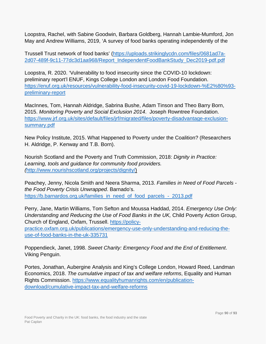Loopstra, Rachel, with Sabine Goodwin, Barbara Goldberg, Hannah Lambie-Mumford, Jon May and Andrew Williams, 2019, 'A survey of food banks operating independently of the

Trussell Trust network of food banks' [\(https://uploads.strikinglycdn.com/files/0681ad7a-](https://uploads.strikinglycdn.com/files/0681ad7a-2d07-489f-9c11-77dc3d1aa968/Report_IndependentFoodBankStudy_Dec2019-pdf.pdf)[2d07-489f-9c11-77dc3d1aa968/Report\\_IndependentFoodBankStudy\\_Dec2019-pdf.pdf](https://uploads.strikinglycdn.com/files/0681ad7a-2d07-489f-9c11-77dc3d1aa968/Report_IndependentFoodBankStudy_Dec2019-pdf.pdf)

Loopstra, R. 2020. 'Vulnerability to food insecurity since the COVID-10 lockdown: preliminary report'l ENUF, Kings College London and London Food Foundation. [https://enuf.org.uk/resources/vulnerability-food-insecurity-covid-19-lockdown-%E2%80%93](https://enuf.org.uk/resources/vulnerability-food-insecurity-covid-19-lockdown-%E2%80%93-preliminary-report) [preliminary-report](https://enuf.org.uk/resources/vulnerability-food-insecurity-covid-19-lockdown-%E2%80%93-preliminary-report)

MacInnes, Tom, Hannah Aldridge, Sabrina Bushe, Adam Tinson and Theo Barry Born, 2015. *Monitoring Poverty and Social Exclusion 2014*. Joseph Rowntree Foundation. [https://www.jrf.org.uk/sites/default/files/jrf/migrated/files/poverty-disadvantage-exclusion](https://www.jrf.org.uk/sites/default/files/jrf/migrated/files/poverty-disadvantage-exclusion-summary.pdf)[summary.pdf](https://www.jrf.org.uk/sites/default/files/jrf/migrated/files/poverty-disadvantage-exclusion-summary.pdf)

New Policy Institute, 2015. What Happened to Poverty under the Coalition? (Researchers H. Aldridge, P. Kenway and T.B. Born).

Nourish Scotland and the Poverty and Truth Commission, 2018: *Dignity in Practice: Learning, tools and guidance for community food providers. (*[http://www.nourishscotland.org/projects/dignity/\)](http://www.nourishscotland.org/projects/dignity/)

Peachey, Jenny, Nicola Smith and Neera Sharma, 2013. *Families in Need of Food Parcels the Food Poverty Crisis Unwrapped*. Barnado's. [https://b.barnardos.org.uk/families\\_in\\_need\\_of\\_food\\_parcels\\_-\\_2013.pdf](https://b.barnardos.org.uk/families_in_need_of_food_parcels_-_2013.pdf)

Perry, Jane, Martin Williams, Tom Sefton and Moussa Haddad, 2014. *Emergency Use Only: Understanding and Reducing the Use of Food Banks in the UK,* Child Poverty Action Group, Church of England, Oxfam, Trussell. [https://policy](https://policy-practice.oxfam.org.uk/publications/emergency-use-only-understanding-and-reducing-the-use-of-food-banks-in-the-uk-335731)[practice.oxfam.org.uk/publications/emergency-use-only-understanding-and-reducing-the](https://policy-practice.oxfam.org.uk/publications/emergency-use-only-understanding-and-reducing-the-use-of-food-banks-in-the-uk-335731)[use-of-food-banks-in-the-uk-335731](https://policy-practice.oxfam.org.uk/publications/emergency-use-only-understanding-and-reducing-the-use-of-food-banks-in-the-uk-335731)

Poppendieck, Janet, 1998. *Sweet Charity: Emergency Food and the End of Entitlement*. Viking Penguin.

Portes, Jonathan, Aubergine Analysis and King's College London, Howard Reed, Landman Economics, 2018. *The cumulative impact of tax and welfare reforms*, Equality and Human Rights Commission. [https://www.equalityhumanrights.com/en/publication](https://www.equalityhumanrights.com/en/publication-download/cumulative-impact-tax-and-welfare-reforms)[download/cumulative-impact-tax-and-welfare-reforms](https://www.equalityhumanrights.com/en/publication-download/cumulative-impact-tax-and-welfare-reforms)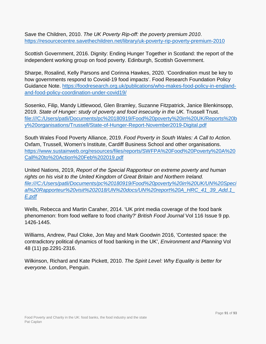Save the Children, 2010. *The UK Poverty Rip-off: the poverty premium 2010*. <https://resourcecentre.savethechildren.net/library/uk-poverty-rip-poverty-premium-2010>

Scottish Government, 2016. Dignity: Ending Hunger Together in Scotland: the report of the independent working group on food poverty. Edinburgh, Scottish Government.

Sharpe, Rosalind, Kelly Parsons and Corinna Hawkes, 2020. 'Coordination must be key to how governments respond to Covoid-19 food impacts'. Food Research Foundation Policy Guidance Note. [https://foodresearch.org.uk/publications/who-makes-food-policy-in-england](https://foodresearch.org.uk/publications/who-makes-food-policy-in-england-and-food-policy-coordination-under-covid19/)[and-food-policy-coordination-under-covid19/](https://foodresearch.org.uk/publications/who-makes-food-policy-in-england-and-food-policy-coordination-under-covid19/)

Sosenko, Filip, Mandy Littlewood, Glen Bramley, Suzanne Fitzpatrick, Janice Blenkinsopp, 2019. *State of Hunger: study of poverty and food insecurity in the UK.* Trussell Trust. file:///C:/Users/patli/Documents/pc%20180919/Food%20poverty%20in%20UK/Reports%20b y%20organisations/Trussell/State-of-Hunger-Report-November2019-Digital.pdf

South Wales Food Poverty Alliance, 2019. *Food Poverty in South Wales: A Call to Action*. Oxfam, Trussell, Women's Institute, Cardiff Business School and other organisations. [https://www.sustainweb.org/resources/files/reports/SWFPA%20Food%20Poverty%20A%20](https://www.sustainweb.org/resources/files/reports/SWFPA%20Food%20Poverty%20A%20Call%20to%20Action%20Feb%202019.pdf) [Call%20to%20Action%20Feb%202019.pdf](https://www.sustainweb.org/resources/files/reports/SWFPA%20Food%20Poverty%20A%20Call%20to%20Action%20Feb%202019.pdf)

United Nations, 2019, *Report of the Special Rapporteur on extreme poverty and human*  rights on his visit to the United Kingdom of Great Britain and Northern Ireland. *file:///C:/Users/patli/Documents/pc%20180919/Food%20poverty%20in%20UK/UN%20Speci al%20Rapporteur%20visit%202018/UN%20docs/UN%20report%20A\_HRC\_41\_39\_Add.1\_ E.pdf*

Wells, Rebecca and Martin Caraher, 2014. 'UK print media coverage of the food bank phenomenon: from food welfare to food charity?' *British Food Journal* Vol 116 Issue 9 pp. 1426-1445.

Williams, Andrew, Paul Cloke, Jon May and Mark Goodwin 2016, 'Contested space: the contradictory political dynamics of food banking in the UK', *Environment and Planning* Vol 48 (11) pp.2291-2316.

Wilkinson, Richard and Kate Pickett, 2010. *The Spirit Level: Why Equality is better for everyone*. London, Penguin.